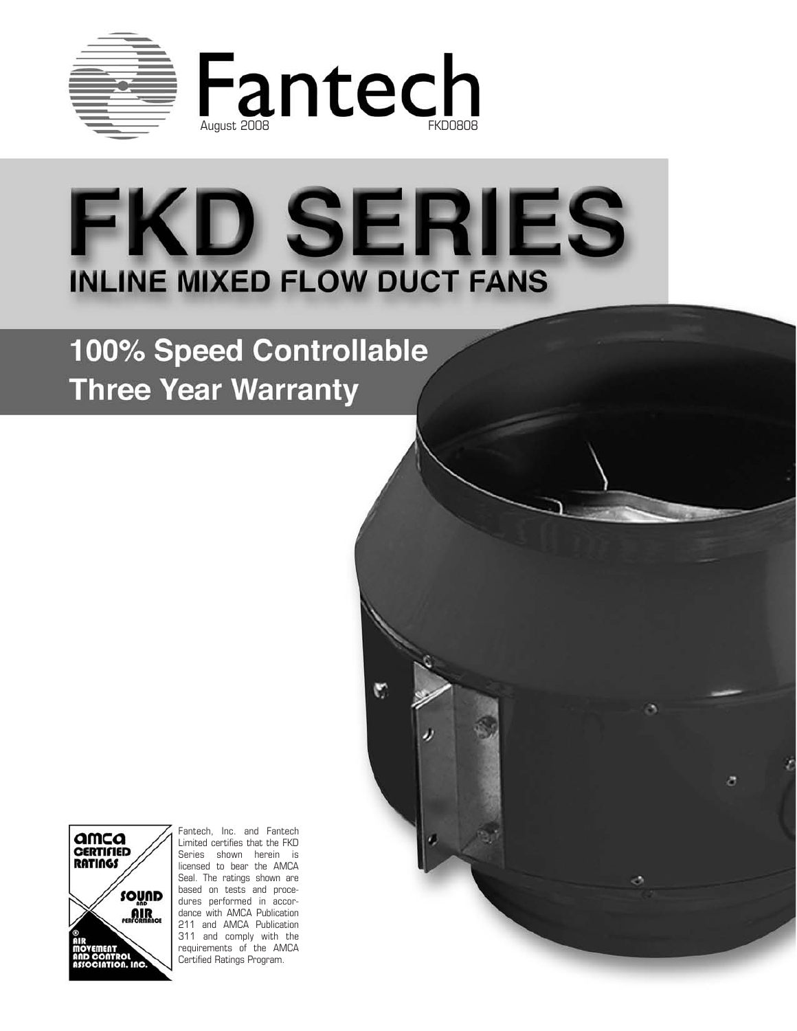

# **FKD SERIES INLINE MIXED FLOW DUCT FANS**

 $\triangledown$ 

ð

100% Speed Controllable **Three Year Warranty** 



Fantech, Inc. and Fantech Limited certifies that the FKD Series shown herein is licensed to bear the AMCA Seal. The ratings shown are based on tests and procedures performed in accordance with AMCA Publication 211 and AMCA Publication 311 and comply with the requirements of the AMCA Certified Ratings Program.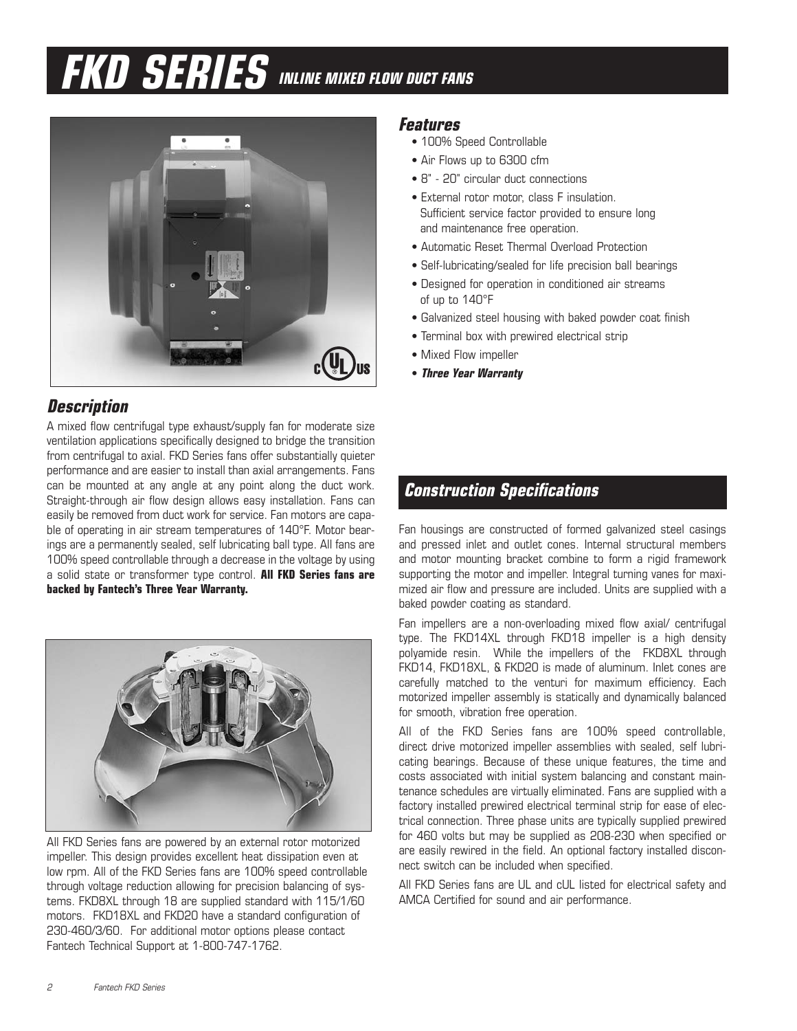# **FKD SERIES INLINE MIXED FLOW DUCT FANS**



# **Description**

A mixed flow centrifugal type exhaust/supply fan for moderate size ventilation applications specifically designed to bridge the transition from centrifugal to axial. FKD Series fans offer substantially quieter performance and are easier to install than axial arrangements. Fans can be mounted at any angle at any point along the duct work. Straight-through air flow design allows easy installation. Fans can easily be removed from duct work for service. Fan motors are capable of operating in air stream temperatures of 140°F. Motor bearings are a permanently sealed, self lubricating ball type. All fans are 100% speed controllable through a decrease in the voltage by using a solid state or transformer type control. **All FKD Series fans are backed by Fantech's Three Year Warranty.**



All FKD Series fans are powered by an external rotor motorized impeller. This design provides excellent heat dissipation even at low rpm. All of the FKD Series fans are 100% speed controllable through voltage reduction allowing for precision balancing of systems. FKD8XL through 18 are supplied standard with 115/1/60 motors. FKD18XL and FKD20 have a standard configuration of 230-460/3/60. For additional motor options please contact Fantech Technical Support at 1-800-747-1762.

### **Features**

- 100% Speed Controllable
- Air Flows up to 6300 cfm
- 8" 20" circular duct connections
- External rotor motor, class F insulation. Sufficient service factor provided to ensure long and maintenance free operation.
- Automatic Reset Thermal Overload Protection
- Self-lubricating/sealed for life precision ball bearings
- Designed for operation in conditioned air streams of up to 140°F
- Galvanized steel housing with baked powder coat finish
- Terminal box with prewired electrical strip
- Mixed Flow impeller
- **Three Year Warranty**

## **Construction Specifications**

Fan housings are constructed of formed galvanized steel casings and pressed inlet and outlet cones. Internal structural members and motor mounting bracket combine to form a rigid framework supporting the motor and impeller. Integral turning vanes for maximized air flow and pressure are included. Units are supplied with a baked powder coating as standard.

Fan impellers are a non-overloading mixed flow axial/ centrifugal type. The FKD14XL through FKD18 impeller is a high density polyamide resin. While the impellers of the FKD8XL through FKD14, FKD18XL, & FKD20 is made of aluminum. Inlet cones are carefully matched to the venturi for maximum efficiency. Each motorized impeller assembly is statically and dynamically balanced for smooth, vibration free operation.

All of the FKD Series fans are 100% speed controllable, direct drive motorized impeller assemblies with sealed, self lubricating bearings. Because of these unique features, the time and costs associated with initial system balancing and constant maintenance schedules are virtually eliminated. Fans are supplied with a factory installed prewired electrical terminal strip for ease of electrical connection. Three phase units are typically supplied prewired for 460 volts but may be supplied as 208-230 when specified or are easily rewired in the field. An optional factory installed disconnect switch can be included when specified.

All FKD Series fans are UL and cUL listed for electrical safety and AMCA Certified for sound and air performance.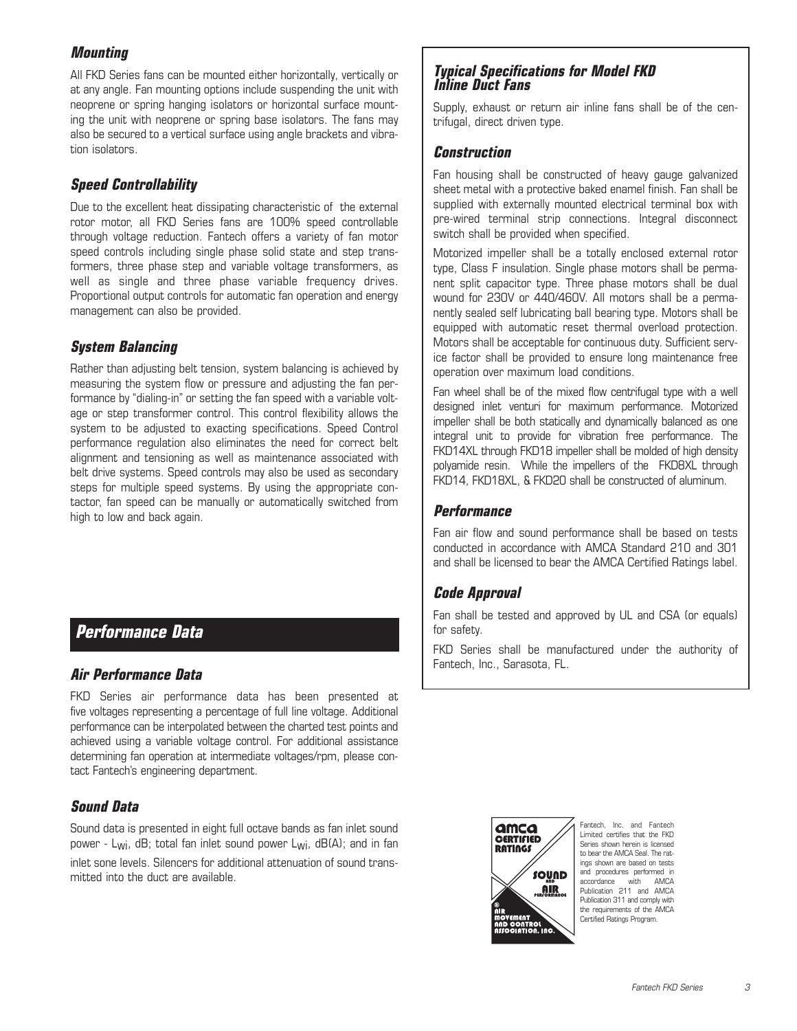### **Mounting**

All FKD Series fans can be mounted either horizontally, vertically or at any angle. Fan mounting options include suspending the unit with neoprene or spring hanging isolators or horizontal surface mounting the unit with neoprene or spring base isolators. The fans may also be secured to a vertical surface using angle brackets and vibration isolators.

### **Speed Controllability**

Due to the excellent heat dissipating characteristic of the external rotor motor, all FKD Series fans are 100% speed controllable through voltage reduction. Fantech offers a variety of fan motor speed controls including single phase solid state and step transformers, three phase step and variable voltage transformers, as well as single and three phase variable frequency drives. Proportional output controls for automatic fan operation and energy management can also be provided.

### **System Balancing**

Rather than adjusting belt tension, system balancing is achieved by measuring the system flow or pressure and adjusting the fan performance by "dialing-in" or setting the fan speed with a variable voltage or step transformer control. This control flexibility allows the system to be adjusted to exacting specifications. Speed Control performance regulation also eliminates the need for correct belt alignment and tensioning as well as maintenance associated with belt drive systems. Speed controls may also be used as secondary steps for multiple speed systems. By using the appropriate contactor, fan speed can be manually or automatically switched from high to low and back again.

## **Performance Data**

### **Air Performance Data**

FKD Series air performance data has been presented at five voltages representing a percentage of full line voltage. Additional performance can be interpolated between the charted test points and achieved using a variable voltage control. For additional assistance determining fan operation at intermediate voltages/rpm, please contact Fantech's engineering department.

### **Sound Data**

Sound data is presented in eight full octave bands as fan inlet sound power - L<sub>Wi</sub>, dB; total fan inlet sound power L<sub>Wi</sub>, dB(A); and in fan inlet sone levels. Silencers for additional attenuation of sound transmitted into the duct are available.

### **Typical Specifications for Model FKD Inline Duct Fans**

Supply, exhaust or return air inline fans shall be of the centrifugal, direct driven type.

### **Construction**

Fan housing shall be constructed of heavy gauge galvanized sheet metal with a protective baked enamel finish. Fan shall be supplied with externally mounted electrical terminal box with pre-wired terminal strip connections. Integral disconnect switch shall be provided when specified.

Motorized impeller shall be a totally enclosed external rotor type, Class F insulation. Single phase motors shall be permanent split capacitor type. Three phase motors shall be dual wound for 230V or 440/460V. All motors shall be a permanently sealed self lubricating ball bearing type. Motors shall be equipped with automatic reset thermal overload protection. Motors shall be acceptable for continuous duty. Sufficient service factor shall be provided to ensure long maintenance free operation over maximum load conditions.

Fan wheel shall be of the mixed flow centrifugal type with a well designed inlet venturi for maximum performance. Motorized impeller shall be both statically and dynamically balanced as one integral unit to provide for vibration free performance. The FKD14XL through FKD18 impeller shall be molded of high density polyamide resin. While the impellers of the FKD8XL through FKD14, FKD18XL, & FKD20 shall be constructed of aluminum.

### **Performance**

Fan air flow and sound performance shall be based on tests conducted in accordance with AMCA Standard 210 and 301 and shall be licensed to bear the AMCA Certified Ratings label.

### **Code Approval**

Fan shall be tested and approved by UL and CSA (or equals) for safety.

FKD Series shall be manufactured under the authority of Fantech, Inc., Sarasota, FL.



Fantech, Inc. and Fantech Limited certifies that the FKD Series shown herein is licensed to bear the AMCA Seal. The ratings shown are based on tests and procedures performed in accordance with AMCA Publication 211 and AMCA Publication 311 and comply with the requirements of the AMCA Certified Ratings Program.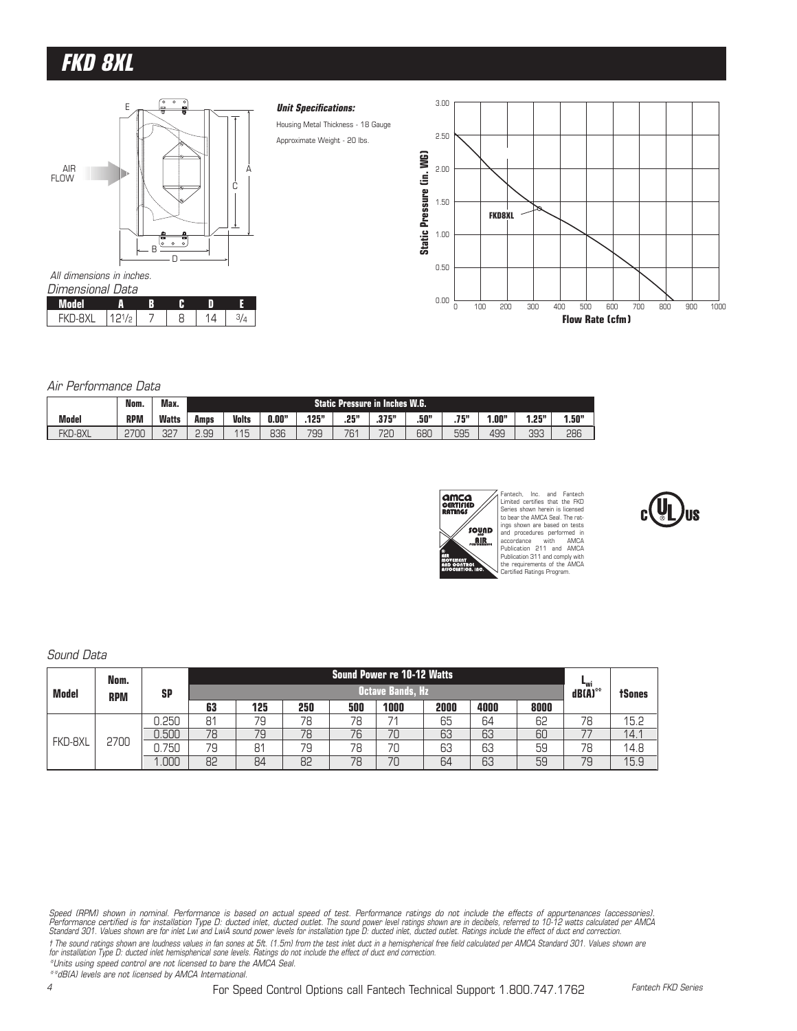# **FKD 8XL**



| Dimensional Data |       |  |    |  |
|------------------|-------|--|----|--|
| Model            |       |  |    |  |
| FKD-RXI          | 121/p |  | 14 |  |

#### **Unit Specifications:**

Housing Metal Thickness - 18 Gauge Approximate Weight - 20 lbs.



#### Air Performance Data

|              | Nom.       | Max.         |      |              |       |                |      | <b>Static Pressure in Inches W.G.</b> |      |              |      |                |       |
|--------------|------------|--------------|------|--------------|-------|----------------|------|---------------------------------------|------|--------------|------|----------------|-------|
| <b>Model</b> | <b>RPM</b> | <b>Watts</b> | Amps | <b>Volts</b> | 0.00" | 196"<br>. I GJ | .25" | 275"<br>.o / J                        | .50" | 75"<br>، ا ہ | .00" | 953<br>l . C u | 1.50" |
| FKD-8XL      | 2700       | 327          | 2.99 | 115<br>ں ا   | 836   | 799            | 761  | 720                                   | 680  | 595          | 499  | 393            | 286   |



Fantech, Inc. and Fantech Limited certifies that the FKD Series shown herein is licensed to bear the AMCA Seal. The ratings shown are based on tests and procedures performed in accordance with AMCA Publication 211 and AMCA Publication 311 and comply with the requirements of the AMCA Certified Ratings Program.

### Sound Data

|              | Nom.       |           |    |     |     |     | Sound Power re 10-12 Watts |      |      |      |                                         |               |
|--------------|------------|-----------|----|-----|-----|-----|----------------------------|------|------|------|-----------------------------------------|---------------|
| <b>Model</b> | <b>RPM</b> | <b>SP</b> |    |     |     |     | <b>Octave Bands, Hz</b>    |      |      |      | $\mathbf{d}\mathbf{B}(\mathbf{A})^{**}$ | <b>tSones</b> |
|              |            |           | 63 | 125 | 250 | 500 | 1000                       | 2000 | 4000 | 8000 |                                         |               |
|              |            | 0.250     | 81 | 79  | 78  | 78  | 71                         | 65   | 64   | 62   | 78                                      | 15.2          |
|              |            | 0.500     | 78 | 79  | 78  | 76  | 70                         | 63   | 63   | 60   |                                         | 14.1          |
| FKD-8XL      | 2700       | 750       | 79 | 81  | 79  | 78  | 70                         | 63   | 63   | 59   | 78                                      | 14.8          |
|              |            | .000      | 82 | 84  | 82  | 78  | 70                         | 64   | 63   | 59   | 79                                      | 15.9          |

Speed (RPM) shown in nominal. Performance is based on actual speed of test. Performance ratings do not include the effects of appurtenances (accessories).<br>Performance certified is for installation Type D: ducted onlet the

t The sound ratings shown are loudness values in fan sones at 5ft. (1.5m) from the test inlet duct in a hemispherical free field calculated per AMCA Standard 301. Values shown are<br>for installation Type D: ducted inlet hemi \*Units using speed control are not licensed to bare the AMCA Seal.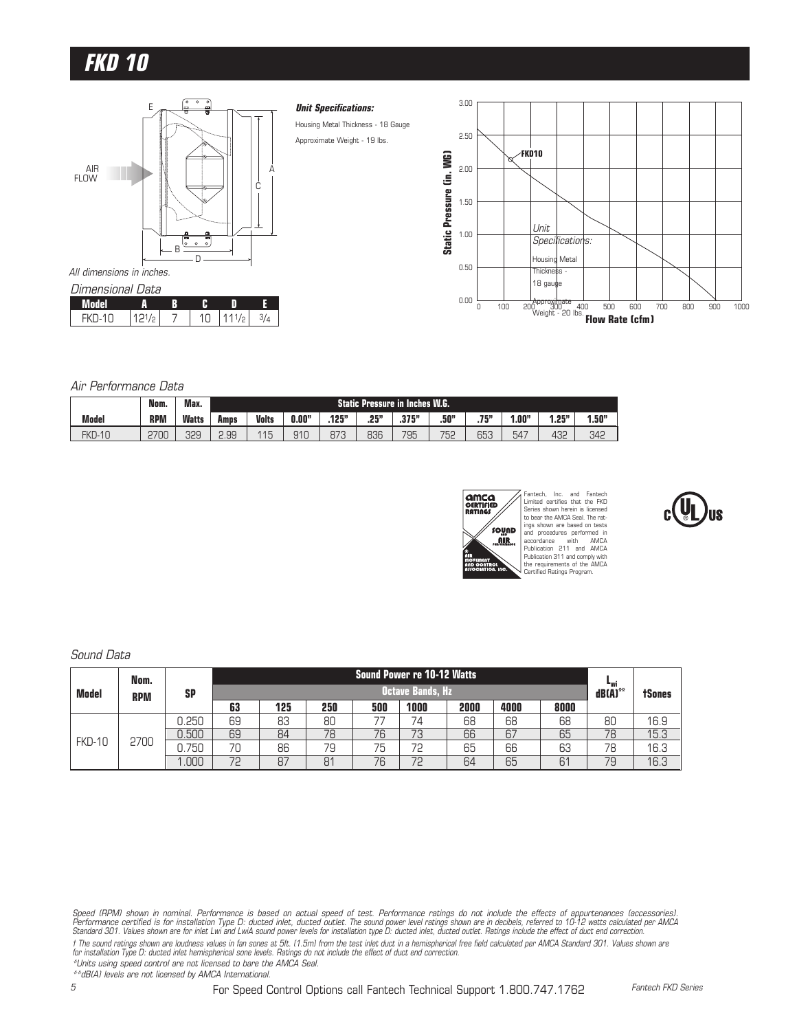

#### Air Performance Data

|               | Nom.       | Мах.         |      |                                                                                    |     |     |     | Static Pressure in Inches W.G. |     |       |     |     |     |
|---------------|------------|--------------|------|------------------------------------------------------------------------------------|-----|-----|-----|--------------------------------|-----|-------|-----|-----|-----|
| <b>Model</b>  | <b>RPM</b> | <b>Watts</b> | Amps | .25"<br>.375"<br>J.00"<br>.50"<br><b>Volts</b><br>.125"<br>.75"<br>1.25"<br>"00، ، |     |     |     |                                |     | 1.50" |     |     |     |
| <b>FKD-10</b> | 2700       | 329          | 2.99 | 115<br>U                                                                           | 910 | 873 | 836 | 795                            | 752 | 653   | 547 | 432 | 342 |



Fantech, Inc. and Fantech Limited certifies that the FKD Series shown herein is licensed to bear the AMCA Seal. The ratings shown are based on tests and procedures performed in accordance with AMCA Publication 211 and AMCA Publication 311 and comply with the requirements of the AMCA Certified Ratings Program.

# Sound Data

|               | Nom.       |           |    |     |     |     | Sound Power re 10-12 Watts |      |      |      |                                |               |
|---------------|------------|-----------|----|-----|-----|-----|----------------------------|------|------|------|--------------------------------|---------------|
| <b>Model</b>  | <b>RPM</b> | <b>SP</b> |    |     |     |     | <b>Octave Bands, Hz</b>    |      |      |      | $\mathsf{dB}\mathsf{(A)}^{**}$ | <b>tSones</b> |
|               |            |           | 63 | 125 | 250 | 500 | 1000                       | 2000 | 4000 | 8000 |                                |               |
|               |            | 0.250     | 69 | 83  | 80  |     | 74                         | 68   | 68   | 68   | 80                             | 16.9          |
|               |            | 0.500     | 69 | 84  | 78  | 76  | 73                         | 66   | 67   | 65   | 78                             | 15.3          |
| <b>FKD-10</b> | 2700       | 750       | 70 | 86  | 79  | 75  | 72                         | 65   | 66   | 63   | 78                             | 16.3          |
|               |            | .000      | 72 | 87  | 81  | 76  | 72                         | 64   | 65   | 61   | 79                             | 16.3          |

Speed (RPM) shown in nominal. Performance is based on actual speed of test. Performance ratings do not include the effects of appurtenances (accessories).<br>Performance certified is for installation Type D: ducted onlet and

t The sound ratings shown are loudness values in fan sones at 5ft. (1.5m) from the test inlet duct in a hemispherical free field calculated per AMCA Standard 301. Values shown are<br>for installation Type D: ducted inlet hemi

\*Units using speed control are not licensed to bare the AMCA Seal.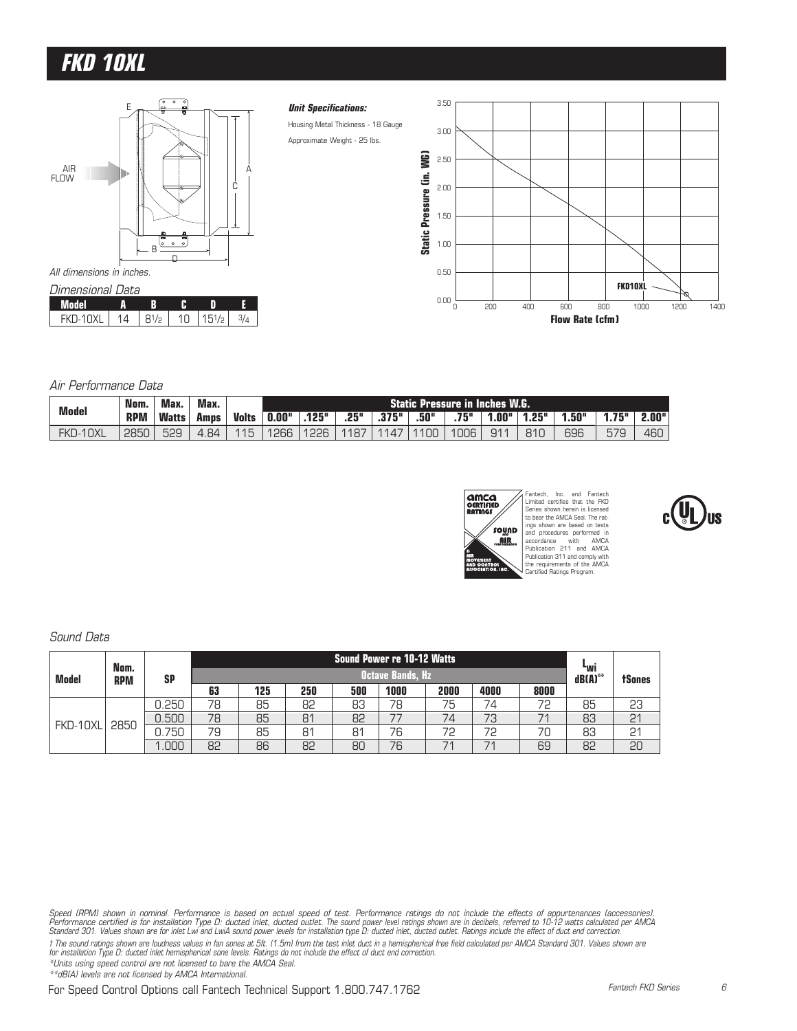# **FKD 10XL**



#### Air Performance Data

| <b>Model</b> | Nom.       | ' Max. | Max.     |              |       |       |      |       |      | <b>Static Pressure in Inches W.G.</b> |                |       |      |       |       |
|--------------|------------|--------|----------|--------------|-------|-------|------|-------|------|---------------------------------------|----------------|-------|------|-------|-------|
|              | <b>RPM</b> | Watts  | Amns     | <b>Volts</b> | 0.00" | .125" | .25" | .375" | .50" | .75"                                  | 1.00"          | 1.25" | .50" | 1.75" | 2.00" |
| FKD-10XL     | 2850       | 529    | .84<br>4 | 115          | 1266  | 1226  | 1187 | 1147  | 100  | 1006                                  | Q <sub>1</sub> | 810   | 696  | 579   | 460   |



Fantech, Inc. and Fantech Limited certifies that the FKD Series shown herein is licensed to bear the AMCA Seal. The ratings shown are based on tests and procedures performed in accordance with AMCA Publication 211 and AMCA Publication 311 and comply with the requirements of the AMCA Certified Ratings Program.

#### Sound Data

|          | Nom.       |           |    |     |     |     | Sound Power re 10-12 Watts <b>'</b> |                          |      |      |                            |               |
|----------|------------|-----------|----|-----|-----|-----|-------------------------------------|--------------------------|------|------|----------------------------|---------------|
| Model    | <b>RPM</b> | <b>SP</b> |    |     |     |     | <b>Octave Bands, Hz</b>             |                          |      |      | <sup>L</sup> wi<br>dB(A)** | <b>tSones</b> |
|          |            |           | 63 | 125 | 250 | 500 | 1000                                | 2000                     | 4000 | 8000 |                            |               |
|          |            | 0.250     | 78 | 85  | 82  | 83  | 78                                  | 75                       | 74   | 72   | 85                         | 23            |
| FKD-10XL | 2850       | 0.500     | 78 | 85  | 81  | 82  | 77                                  | 74                       | 73   |      | 83                         | 21            |
|          |            | .750      | 79 | 85  | 81  | 81  | 76                                  | 72                       | 72   | 70   | 83                         | 21            |
|          |            | .000      | 82 | 86  | 82  | 80  | 76                                  | $\overline{\phantom{a}}$ | 71   | 69   | 82                         | 20            |

t The sound ratings shown are loudness values in fan sones at 5ft. (1.5m) from the test inlet duct in a hemispherical free field calculated per AMCA Standard 301. Values shown are<br>for installation Type D: ducted inlet hemi

\*Units using speed control are not licensed to bare the AMCA Seal.

Speed (RPM) shown in nominal. Performance is based on actual speed of test. Performance ratings do not include the effects of appurtenances (accessories).<br>Performance certified is for installation Type D: ducted onlet the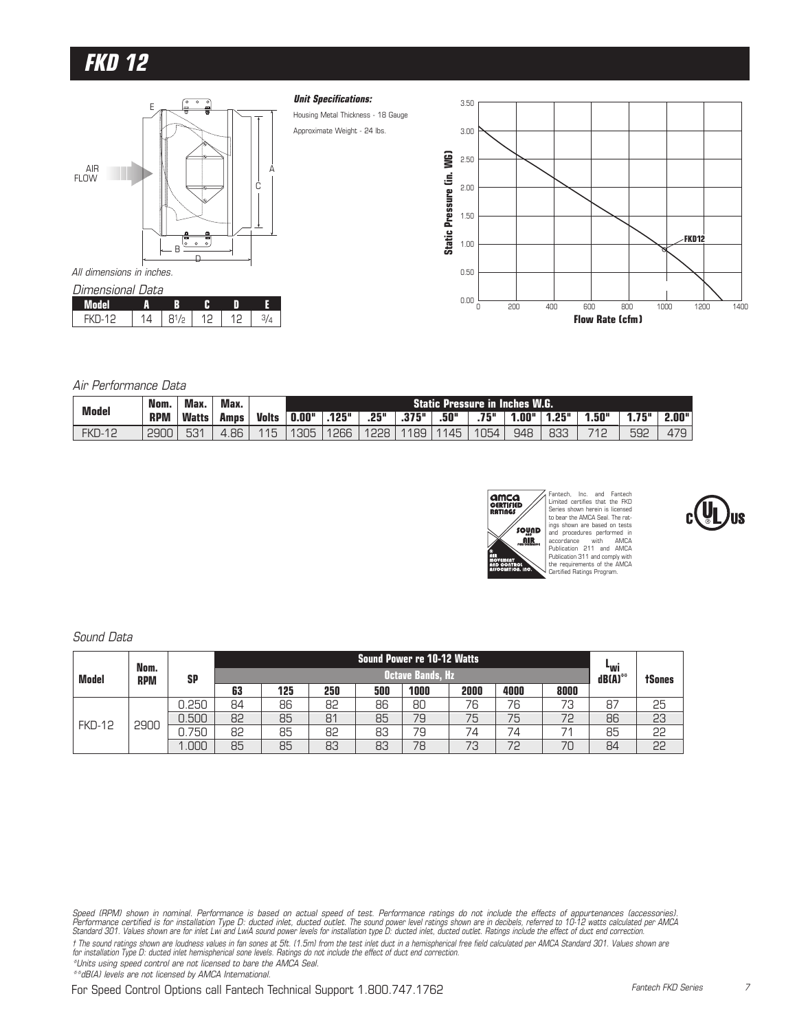

| I JIMENSIONAI I JATA |             |  |  |
|----------------------|-------------|--|--|
| Model                |             |  |  |
| <b>FKD-12</b>        | $Q1/\alpha$ |  |  |

#### **Unit Specifications:**

Housing Metal Thickness - 18 Gauge Approximate Weight - 24 lbs.



#### Air Performance Data

| <b>Model</b>  | Nom.        | Max.         | Max.                |              |       |       |      |       |      | Static Pressure in Inches W.G. |       |       |      |       |       |
|---------------|-------------|--------------|---------------------|--------------|-------|-------|------|-------|------|--------------------------------|-------|-------|------|-------|-------|
|               | <b>RPM</b>  | <b>Watts</b> | Amps                | <b>Volts</b> | 0.00" | .125" | .25" | .375" | .50" | .75"                           | "00.، | 1.25" | .50" | 1.75" | 2.00" |
| <b>FKD-12</b> | <b>2900</b> | 531          | .86<br>$\leftarrow$ | 115          | 1305  | 1266  | 1228 | 1189  | 1145 | 1054                           | 948   | 833   | 712  | 592   | 479   |



Fantech, Inc. and Fantech Limited certifies that the FKD Series shown herein is licensed to bear the AMCA Seal. The ratings shown are based on tests and procedures performed in accordance with AMCA Publication 211 and AMCA Publication 311 and comply with the requirements of the AMCA Certified Ratings Program.



#### Sound Data

|               | Nom.       |           |    |     |     |     | Sound Power re 10-12 Watts |      |      |      |                            |               |
|---------------|------------|-----------|----|-----|-----|-----|----------------------------|------|------|------|----------------------------|---------------|
| Model         | <b>RPM</b> | <b>SP</b> |    |     |     |     | <b>Octave Bands, Hz</b>    |      |      |      | <sup>L</sup> wi<br>dB(A)** | <b>tSones</b> |
|               |            |           | 63 | 125 | 250 | 500 | 1000                       | 2000 | 4000 | 8000 |                            |               |
|               |            | 0.250     | 84 | 86  | 82  | 86  | 80                         | 76   | 76   | 73   | 87                         | 25            |
| <b>FKD-12</b> | 2900       | 0.500     | 82 | 85  | 81  | 85  | 79                         | 75   | 75   | 72   | 86                         | 53            |
|               |            | 1.750     | 82 | 85  | 82  | 83  | 79                         | 74   | 74   | 74   | 85                         | 55            |
|               |            | .000      | 85 | 85  | 83  | 83  | 78                         | 73   | 72   | 70   | 84                         | 55            |

t The sound ratings shown are loudness values in fan sones at 5ft. (1.5m) from the test inlet duct in a hemispherical free field calculated per AMCA Standard 301. Values shown are<br>for installation Type D: ducted inlet hemi

\*Units using speed control are not licensed to bare the AMCA Seal.

Speed (RPM) shown in nominal. Performance is based on actual speed of test. Performance ratings do not include the effects of appurtenances (accessories).<br>Performance certified is for installation Type D: ducted onlet and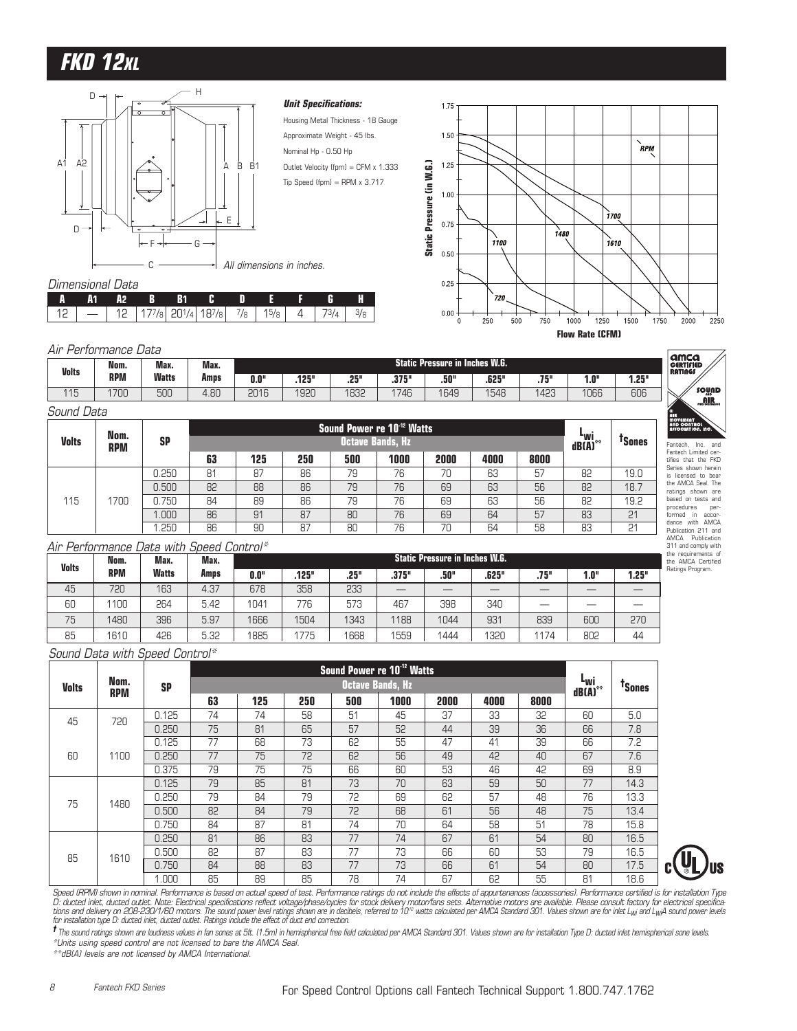# **FKD 12XL**



#### **Unit Specifications:**

Housing Metal Thickness - 18 Gauge Approximate Weight - 45 lbs. Nominal Hp - 0.50 Hp Outlet Velocity (fpm) = CFM x 1.333  $Tip Speed (fpm) = RPM \times 3.717$ 



#### **A A1 A2 B B1 CDEFGH**  $12 \mid - \mid 12 \mid 177/8 \mid 201/4 \mid 187/8 \mid 7/8 \mid 15/8 \mid 4 \mid 73/4 \mid 3/8$

Dimensional Data

| Air          | Pertormance L | Jata         |      |      |       |      |       |                                 |       |          |      |       | amca                               |
|--------------|---------------|--------------|------|------|-------|------|-------|---------------------------------|-------|----------|------|-------|------------------------------------|
| <b>Volts</b> | Nom.          | Max.         | Max. |      |       |      |       | Static Pressure in Inches W.G.' |       |          |      |       | <b>CERTIFIED</b><br><b>RATINGS</b> |
|              | <b>RPM</b>    | <b>Watts</b> | Amps | 0.0" | .125" | .25" | .375" | .50"                            | .625" | 758<br>. | 1.0" | 1.25" |                                    |
| 115          | 1700          | 500          | 4.80 | 2016 | 1920  | 1832 | 746   | 1649                            | 1548  | 1423     | 1066 | 606   | $\checkmark$                       |

| Sound Data |  |
|------------|--|
|            |  |

|              | Nom.       |           |    |     |     |     | Sound Power re 10 <sup>-12</sup> Watts |      |      |      | . .                            |                    |
|--------------|------------|-----------|----|-----|-----|-----|----------------------------------------|------|------|------|--------------------------------|--------------------|
| <b>Volts</b> | <b>RPM</b> | <b>SP</b> |    |     |     |     | Octave Bands, Hz                       |      |      |      | ⊾wi<br>$dB(\overline{A})^{**}$ | <sup>T</sup> Sones |
|              |            |           | 63 | 125 | 250 | 500 | 1000                                   | 2000 | 4000 | 8000 |                                |                    |
|              |            | 0.250     | 81 | 87  | 86  | 79  | 76                                     | 70   | 63   | 57   | 82                             | 19.0               |
|              |            | 0.500     | 82 | 88  | 86  | 79  | 76                                     | 69   | 63   | 56   | 82                             | 18.7               |
| 115          | 700        | 0.750     | 84 | 89  | 86  | 79  | 76                                     | 69   | 63   | 56   | 82                             | 19.2               |
|              |            | 1.000     | 86 | 91  | 87  | 80  | 76                                     | 69   | 64   | 57   | 83                             | 21                 |
|              |            | .250      | 86 | 90  | 87  | 80  | 76                                     | 70   | 64   | 58   | 83                             | 21                 |

# Fantech, Inc. and Fantech Limited cer-tifies that the FKD Series shown herein is licensed to bear the AMCA Seal. The ratings shown are based on tests and procedures per-formed in accor-dance with AMCA Publication 211 and AMCA Publication 311 and comply with

sound **AIR** 

the requirements of the AMCA Certified Ratings Program.

#### Air Performance Data with Speed Control\*

| <b>Volts</b> | Nom.       | Max.         | Max. |      |       |      |       | Static Pressure in Inches W.G. ' |       |      |      |       |
|--------------|------------|--------------|------|------|-------|------|-------|----------------------------------|-------|------|------|-------|
|              | <b>RPM</b> | <b>Watts</b> | Amps | 0.0" | .125" | .25" | .375" | .50"                             | .625" | .75" | 1.0" | 1.25" |
| 45           | 720        | 163          | 4.37 | 678  | 358   | 233  |       |                                  |       |      |      |       |
| 60           | 1100       | 264          | 5.42 | 1041 | 776   | 573  | 467   | 398                              | 340   |      |      |       |
| 75           | 1480       | 396          | 5.97 | 1666 | 1504  | 1343 | 1188  | 1044                             | 931   | 839  | 600  | 270   |
| 85           | 1610       | 426          | 5.32 | 1885 | 1775  | 1668 | 1559  | 1444                             | 1320  | 1174 | 802  | 44    |

#### Sound Data with Speed Control\*

|              |            |           |    |     |     | Sound Power re 10 <sup>-12</sup> Watts |                         |      |      |      |                             |                    |
|--------------|------------|-----------|----|-----|-----|----------------------------------------|-------------------------|------|------|------|-----------------------------|--------------------|
| <b>Volts</b> | Nom.       | <b>SP</b> |    |     |     |                                        | <b>Octave Bands, Hz</b> |      |      |      | ⊾wi<br>$dB(\overline{A})^*$ | <sup>T</sup> Sones |
|              | <b>RPM</b> |           | 63 | 125 | 250 | 500                                    | 1000                    | 2000 | 4000 | 8000 |                             |                    |
| 45           | 720        | 0.125     | 74 | 74  | 58  | 51                                     | 45                      | 37   | 33   | 32   | 60                          | 5.0                |
|              |            | 0.250     | 75 | 81  | 65  | 57                                     | 52                      | 44   | 39   | 36   | 66                          | 7.8                |
|              |            | 0.125     | 77 | 68  | 73  | 62                                     | 55                      | 47   | 41   | 39   | 66                          | 7.2                |
| 60           | 1100       | 0.250     | 77 | 75  | 72  | 62                                     | 56                      | 49   | 42   | 40   | 67                          | 7.6                |
|              |            | 0.375     | 79 | 75  | 75  | 66                                     | 60                      | 53   | 46   | 42   | 69                          | 8.9                |
|              |            | 0.125     | 79 | 85  | 81  | 73                                     | 70                      | 63   | 59   | 50   | 77                          | 14.3               |
| 75           | 1480       | 0.250     | 79 | 84  | 79  | 72                                     | 69                      | 62   | 57   | 48   | 76                          | 13.3               |
|              |            | 0.500     | 82 | 84  | 79  | 72                                     | 68                      | 61   | 56   | 48   | 75                          | 13.4               |
|              |            | 0.750     | 84 | 87  | 81  | 74                                     | 70                      | 64   | 58   | 51   | 78                          | 15.8               |
|              |            | 0.250     | 81 | 86  | 83  | 77                                     | 74                      | 67   | 61   | 54   | 80                          | 16.5               |
| 85           | 1610       | 0.500     | 82 | 87  | 83  | 77                                     | 73                      | 66   | 60   | 53   | 79                          | 16.5               |
|              |            | 0.750     | 84 | 88  | 83  | 77                                     | 73                      | 66   | 61   | 54   | 80                          | 17.5               |
|              |            | 1.000     | 85 | 89  | 85  | 78                                     | 74                      | 67   | 62   | 55   | 81                          | 18.6               |



Speed (RPM) shown in nominal. Performance is based on actual speed of test. Performance ratings do not include the effects of appurtenances (accessories). Performance certified is for installation Type<br>D: ducted inlet, duc for installation type D: ducted inlet, ducted outlet. Ratings include the effect of duct end correction.

**†** The sound ratings shown are loudness values in fan sones at 5ft. (1.5m) in hemispherical free field calculated per AMCA Standard 301. Values shown are for installation Type D: ducted inlet hemispherical sone levels. \*Units using speed control are not licensed to bare the AMCA Seal.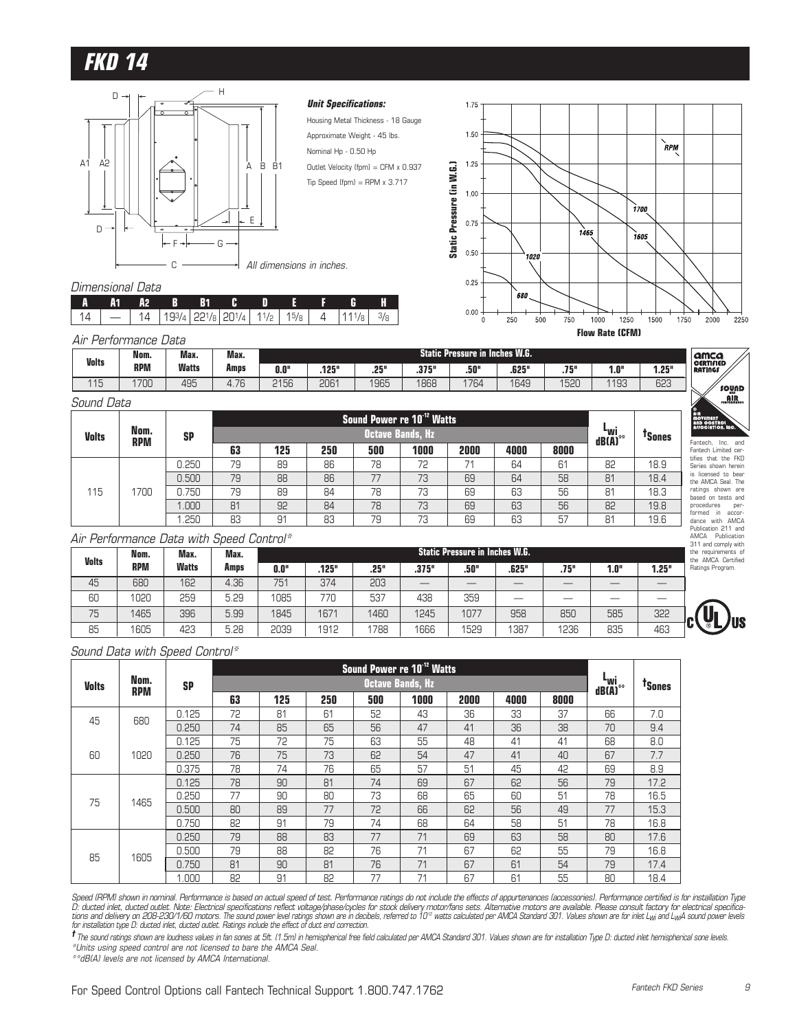

#### **Unit Specifications:**

Housing Metal Thickness - 18 Gauge Approximate Weight - 45 lbs. Nominal Hp - 0.50 Hp Outlet Velocity (fpm) = CFM x 0.937 Tip Speed (fpm) = RPM  $\times$  3.717



#### Dimensional Data

| - A1 | - A2 - B - B1 - C |  |  |                                                              |  |
|------|-------------------|--|--|--------------------------------------------------------------|--|
|      |                   |  |  | $14$   193/4   221/8   201/4   11/2   15/8   4   111/8   3/8 |  |

#### Air Performance Data

| <b>Volts</b> | Nom.       | Max.         | Max.                     |                                                                                                                                        |      |      | <b>Static Pres</b> |      | re in Inches W.G. |      |               |     | <b>amca</b><br><b>CERTIFIED</b> |
|--------------|------------|--------------|--------------------------|----------------------------------------------------------------------------------------------------------------------------------------|------|------|--------------------|------|-------------------|------|---------------|-----|---------------------------------|
|              | <b>RPM</b> | <b>Watts</b> | Amps                     | .125"<br>.25"<br>755<br>1.25"<br><b>275"</b><br>.625"<br>0.0"<br>.50"<br>$\mathbf{f} \cdot \mathbf{0}$<br><b>RATINGS</b><br>.v , u<br> |      |      |                    |      |                   |      |               |     |                                 |
| 11F          | 1700       | 495          | $\overline{\phantom{0}}$ | 2156                                                                                                                                   | 2061 | 1965 | 1868               | 1764 | 1649              | 1520 | 193<br>ا با ب | 623 |                                 |

#### Sound Data

| <b>Volts</b> |                    |           |    |     |     |     | Sound Power re 10 <sup>-12</sup> Watts |      |      |      |                          |                    | <b>AIR</b><br>MOVEMENT<br>AND CONTROL<br>ASSOCIATION. |
|--------------|--------------------|-----------|----|-----|-----|-----|----------------------------------------|------|------|------|--------------------------|--------------------|-------------------------------------------------------|
|              | Nom.<br><b>RPM</b> | <b>SP</b> |    |     |     |     | <b>Octave Bands, Hz</b>                |      |      |      | iw <sup>1</sup><br>dB(A) | <sup>t</sup> Sones |                                                       |
|              |                    |           | 63 | 125 | 250 | 500 | 1000                                   | 2000 | 4000 | 8000 |                          |                    | Fantech, Inc.<br>Fantech Limiter                      |
|              |                    | 0.250     | 79 | 89  | 86  | 78  | 72                                     | 71   | 64   | 61   | 82                       | 18.9               | tifies that the<br>Series shown                       |
|              |                    | 0.500     | 79 | 88  | 86  | 77  | 73                                     | 69   | 64   | 58   | 81                       | 18.4               | is licensed to<br>the AMCA Sea                        |
| 115          | 1700               | 0.750     | 79 | 89  | 84  | 78  | 73                                     | 69   | 63   | 56   | 81                       | 18.3               | ratings shown<br>based on test                        |
|              |                    | 1.000     | 81 | 92  | 84  | 78  | 73                                     | 69   | 63   | 56   | 82                       | 19.8               | procedures                                            |
|              |                    | 1.250     | 83 | 91  | 83  | 79  | 73                                     | 69   | 63   | 57   | 81                       | 19.6               | formed in a<br>dance with /                           |

#### Air Performance Data with Speed Control\*

| 115                                      | 1700       | 0.750        | 79   | 89   | 84    | 78   | 73    | 69                                    | 63    | 56   | 81   | 18.3  | ratings shown are<br>based on tests and                           |
|------------------------------------------|------------|--------------|------|------|-------|------|-------|---------------------------------------|-------|------|------|-------|-------------------------------------------------------------------|
|                                          |            | .000         | 81   | 92   | 84    | 78   | 73    | 69                                    | 63    | 56   | 82   | 19.8  | procedures<br>per-                                                |
|                                          |            | .250         | 83   | 91   | 83    | 79   | 73    | 69                                    | 63    | 57   | 81   | 19.6  | formed<br>in accor-<br>dance with AMCA                            |
| Air Performance Data with Speed Control* |            |              |      |      |       |      |       |                                       |       |      |      |       | Publication 211 and<br>Publication<br>AMCA<br>311 and comply with |
|                                          | Nom.       | Max.         | Max. |      |       |      |       | <b>Static Pressure in Inches W.G.</b> |       |      |      |       | the requirements of<br>the AMCA Certified                         |
|                                          |            |              |      |      |       |      |       |                                       |       |      |      |       |                                                                   |
| <b>Volts</b>                             | <b>RPM</b> | <b>Watts</b> | Amps | 0.0" | .125" | .25" | .375" | .50"                                  | .625" | .75" | 1.0" | 1.25" | Ratings Program.                                                  |
| 45                                       | 680        | 162          | 4.36 | 751  | 374   | 203  |       |                                       |       |      |      |       |                                                                   |
| 60                                       | 1020       | 259          | 5.29 | 1085 | 770   | 537  | 438   | 359                                   |       |      |      |       |                                                                   |
| 75                                       | 1465       | 396          | 5.99 | 1845 | 1671  | 1460 | 1245  | 1077                                  | 958   | 850  | 585  | 322   | <b>US</b><br>'n.                                                  |

#### Sound Data with Speed Control\*

|              |            |           |    |     |     |     | Sound Power re 10 <sup>-12</sup> Watts |      |      |      |                                            |                    |
|--------------|------------|-----------|----|-----|-----|-----|----------------------------------------|------|------|------|--------------------------------------------|--------------------|
| <b>Volts</b> | Nom.       | <b>SP</b> |    |     |     |     | <b>Octave Bands, Hz</b>                |      |      |      | L <sub>Wi</sub><br>$dB(\overline{A})^{**}$ | <sup>T</sup> Sones |
|              | <b>RPM</b> |           | 63 | 125 | 250 | 500 | 1000                                   | 2000 | 4000 | 8000 |                                            |                    |
| 45           | 680        | 0.125     | 72 | 81  | 61  | 52  | 43                                     | 36   | 33   | 37   | 66                                         | 7.0                |
|              |            | 0.250     | 74 | 85  | 65  | 56  | 47                                     | 41   | 36   | 38   | 70                                         | 9.4                |
|              |            | 0.125     | 75 | 72  | 75  | 63  | 55                                     | 48   | 41   | 41   | 68                                         | 8.0                |
| 60           | 1020       | 0.250     | 76 | 75  | 73  | 62  | 54                                     | 47   | 41   | 40   | 67                                         | 7.7                |
|              |            | 0.375     | 78 | 74  | 76  | 65  | 57                                     | 51   | 45   | 42   | 69                                         | 8.9                |
|              |            | 0.125     | 78 | 90  | 81  | 74  | 69                                     | 67   | 62   | 56   | 79                                         | 17.2               |
| 75           | 1465       | 0.250     | 77 | 90  | 80  | 73  | 68                                     | 65   | 60   | 51   | 78                                         | 16.5               |
|              |            | 0.500     | 80 | 89  | 77  | 72  | 66                                     | 62   | 56   | 49   | 77                                         | 15.3               |
|              |            | 0.750     | 82 | 91  | 79  | 74  | 68                                     | 64   | 58   | 51   | 78                                         | 16.8               |
|              |            | 0.250     | 79 | 88  | 83  | 77  | 71                                     | 69   | 63   | 58   | 80                                         | 17.6               |
| 85           | 1605       | 0.500     | 79 | 88  | 82  | 76  | 71                                     | 67   | 62   | 55   | 79                                         | 16.8               |
|              |            | 0.750     | 81 | 90  | 81  | 76  | 71                                     | 67   | 61   | 54   | 79                                         | 17.4               |
|              |            | 1.000     | 82 | 91  | 82  | 77  | 71                                     | 67   | 61   | 55   | 80                                         | 18.4               |

Speed (RPM) shown in nominal. Performance is based on actual speed of test. Performance ratings do not include the effects of appurtenances (accessories). Performance certified is for installation Type<br>D: ducted inlet, duc

**†** The sound ratings shown are loudness values in fan sones at 5ft. (1.5m) in hemispherical free field calculated per AMCA Standard 301. Values shown are for installation Type D: ducted inlet hemispherical sone levels. \*Units using speed control are not licensed to bare the AMCA Seal.

\*\*dB(A) levels are not licensed by AMCA International.

Fantech Limited cer-tifies that the FKD Series shown herein is licensed to bear the AMCA Seal. The

sound ajir.

**Jus**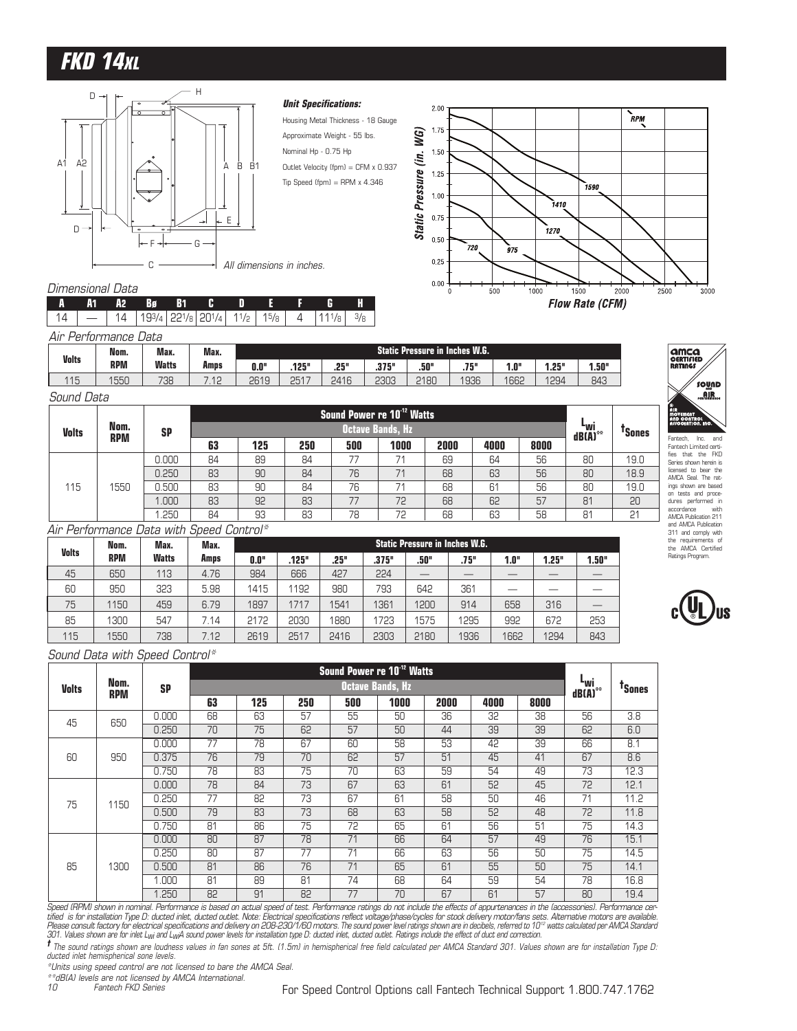# **FKD 14XL**



#### **Unit Specifications:**

Housing Metal Thickness - 18 Gauge Approximate Weight - 55 lbs. Nominal Hp - 0.75 Hp Outlet Velocity (fpm) = CFM x 0.937 Tip Speed (fpm) = RPM  $\times$  4.346



#### Dimensional Data

|                      |  |  |  |  | IA A1A2 BøB1 CDEF GH |  |
|----------------------|--|--|--|--|----------------------|--|
|                      |  |  |  |  |                      |  |
| Air Performance Data |  |  |  |  |                      |  |

|              | Nom.       | Max.         | Max. |                                                                           |      |      |      | <b>Static Pressure in Inches W.G.</b> |      |      |      |     |
|--------------|------------|--------------|------|---------------------------------------------------------------------------|------|------|------|---------------------------------------|------|------|------|-----|
| <b>Volts</b> | <b>RPM</b> | <b>Watts</b> | Amps | 1.50"<br>.25"<br>.375"<br>0.0"<br>.125"<br>.50"<br>.75"<br>1.25"<br>"۵. آ |      |      |      |                                       |      |      |      |     |
| 115          | 1550       | 738          | 10   | 2619                                                                      | 2517 | 2416 | 2303 | 2180                                  | 1936 | 1662 | 1294 | 843 |

| Sound Data   |            |           |    |     |     |     |                                        |      |      |      |                                      |                    |
|--------------|------------|-----------|----|-----|-----|-----|----------------------------------------|------|------|------|--------------------------------------|--------------------|
|              |            |           |    |     |     |     | Sound Power re 10 <sup>-12</sup> Watts |      |      |      |                                      |                    |
| <b>Volts</b> | Nom.       | <b>SP</b> |    |     |     |     | <b>Octave Bands, Hz</b>                |      |      |      | ⊾wi<br>$dB(\overline{A})^{\ast\ast}$ | <sup>T</sup> Sones |
|              | <b>RPM</b> |           | 63 | 125 | 250 | 500 | 1000                                   | 2000 | 4000 | 8000 |                                      |                    |
|              |            | 0.000     | 84 | 89  | 84  | 77  | 71                                     | 69   | 64   | 56   | 80                                   | 19.0               |
|              |            | 0.250     | 83 | 90  | 84  | 76  | 71                                     | 68   | 63   | 56   | 80                                   | 18.9               |
| 115          | 1550       | 0.500     | 83 | 90  | 84  | 76  | 71                                     | 68   | 61   | 56   | 80                                   | 19.0               |
|              |            | .000      | 83 | 92  | 83  | 77  | 72                                     | 68   | 62   | 57   | 81                                   | 20                 |
|              |            | .250      | 84 | 93  | 83  | 78  | 72                                     | 68   | 63   | 58   | 81                                   | 21                 |

#### Air Performance Data with Speed Control\*

|              | Nom.       | Max.         | Max. |      |       |      |       | <b>Static Pressure in Inches W.G.</b> |      |      |       |       |
|--------------|------------|--------------|------|------|-------|------|-------|---------------------------------------|------|------|-------|-------|
| <b>Volts</b> | <b>RPM</b> | <b>Watts</b> | Amps | 0.0" | .125" | .25" | .375" | .50"                                  | .75" | 1.0" | 1.25" | 1.50" |
| 45           | 650        | 113          | 4.76 | 984  | 666   | 427  | 224   |                                       |      |      |       |       |
| 60           | 950        | 323          | 5.98 | 1415 | 1192  | 980  | 793   | 642                                   | 361  |      |       |       |
| 75           | 1150       | 459          | 6.79 | 1897 | 1717  | 1541 | 1361  | 1200                                  | 914  | 658  | 316   |       |
| 85           | 1300       | 547          | 7.14 | 2172 | 2030  | 1880 | 1723  | 1575                                  | 1295 | 992  | 672   | 253   |
| 115          | 1550       | 738          | 7.12 | 2619 | 2517  | 2416 | 2303  | 2180                                  | 1936 | 1662 | 1294  | 843   |



|                   |                    |                             |                     |                                   |                                        | Sound Power re 10 <sup>-12</sup> Watts |                         |                     |      |                               |                                |                    |
|-------------------|--------------------|-----------------------------|---------------------|-----------------------------------|----------------------------------------|----------------------------------------|-------------------------|---------------------|------|-------------------------------|--------------------------------|--------------------|
| <b>Volts</b>      | Nom.<br><b>RPM</b> | <b>SP</b>                   |                     |                                   |                                        |                                        | <b>Octave Bands, Hz</b> |                     |      |                               | ⊾տվ<br>$dB(\overline{A})^{**}$ | <sup>T</sup> Sones |
|                   |                    |                             | 63                  | 125                               | 250                                    | 500                                    | 1000                    | 2000                | 4000 | 8000                          |                                |                    |
| 45                | 650                | 0.000                       | 68                  | 63                                | 57                                     | 55                                     | 50                      | 36                  | 32   | 38                            | 56                             | 3.8                |
|                   |                    | 0.250                       | 70                  | 75                                | 62                                     | 57                                     | 50                      | 44                  | 39   | 39                            | 62                             | 6.0                |
|                   |                    | 0.000                       | 77                  | 78                                | 67                                     | 60                                     | 58                      | 53                  | 42   | 39                            | 66                             | 8.1                |
| 60                | 950                | 0.375                       | 76                  | 79                                | 70                                     | 62                                     | 57                      | 51                  | 45   | 41                            | 67                             | 8.6                |
|                   |                    | 0.750                       | 78                  | 83                                | 75                                     | 70                                     | 63                      | 59                  | 54   | 49                            | 73                             | 12.3               |
|                   |                    | 0.000                       | 78                  | 84                                | 73                                     | 67                                     | 63                      | 61                  | 52   | 45                            | 72                             | 12.1               |
| 75                | 1150               | 0.250                       | 77                  | 82                                | 73                                     | 67                                     | 61                      | 58                  | 50   | 46                            | 71                             | 11.2               |
|                   |                    | 0.500                       | 79                  | 83                                | 73                                     | 68                                     | 63                      | 58                  | 52   | 48                            | 72                             | 11.8               |
|                   |                    | 0.750                       | 81                  | 86                                | 75                                     | 72                                     | 65                      | 61                  | 56   | 51                            | 75                             | 14.3               |
|                   |                    | 0.000                       | 80                  | 87                                | 78                                     | 71                                     | 66                      | 64                  | 57   | 49                            | 76                             | 15.1               |
|                   |                    | 0.250                       | 80                  | 87                                | 77                                     | 71                                     | 66                      | 63                  | 56   | 50                            | 75                             | 14.5               |
| 85                | 1300               | 0.500                       | 81                  | 86                                | 76                                     | 71                                     | 65                      | 61                  | 55   | 50                            | 75                             | 14.1               |
|                   |                    | 1.000                       | 81                  | 89                                | 81                                     | 74                                     | 68                      | 64                  | 59   | 54                            | 78                             | 16.8               |
| 1000111<br>$\sim$ |                    | 1.250<br>$\sim$<br>$\cdots$ | 82<br>$\sim$ $\sim$ | 91<br>$\sim$ $\sim$ $\sim$ $\sim$ | 82<br>$\sim$ $\sim$ $\sim$<br>$\cdots$ | 77<br>1.1.1.1                          | 70<br>.                 | 67<br>$\sim$ $\sim$ | 61   | 57<br>$\cdot$ $\cdot$ $\cdot$ | 80<br>$\cdot \cdot -$          | 19.4               |

Speed (RPM) shown in nominal. Performance is based on actual speed of test. Performance ratings do not include the effects of appurtenances in the (accessories). Performance certified is for installation Type D: ducted inlet, ducted outlet. Note: Electrical specifications reflect voltage/phase/cycles for stock delivery motor/fans sets. Alternative motors are available.<br>Please consult factory for 301. Values shown are for inlet L<sub>WI</sub> and L<sub>WI</sub>A sound power levels for installation type D: ducted inlet, ducted outlet. Ratings include the effect of duct end correction.

**†** The sound ratings shown are loudness values in fan sones at 5ft. (1.5m) in hemispherical free field calculated per AMCA Standard 301. Values shown are for installation Type D: ducted inlet hemispherical sone levels.

\*Units using speed control are not licensed to bare the AMCA Seal.

\*\*dB(A) levels are not licensed by AMCA International.

10 Fantech FKD Series



Fantech, Inc. and Fantech Limited certi-fies that the FKD Series shown herein is licensed to bear the AMCA Seal. The ratings shown are based on tests and proce-dures performed in accordance with AMCA Publication 211 and AMCA Publication 311 and comply with the requirements of the AMCA Certified Ratings Program.

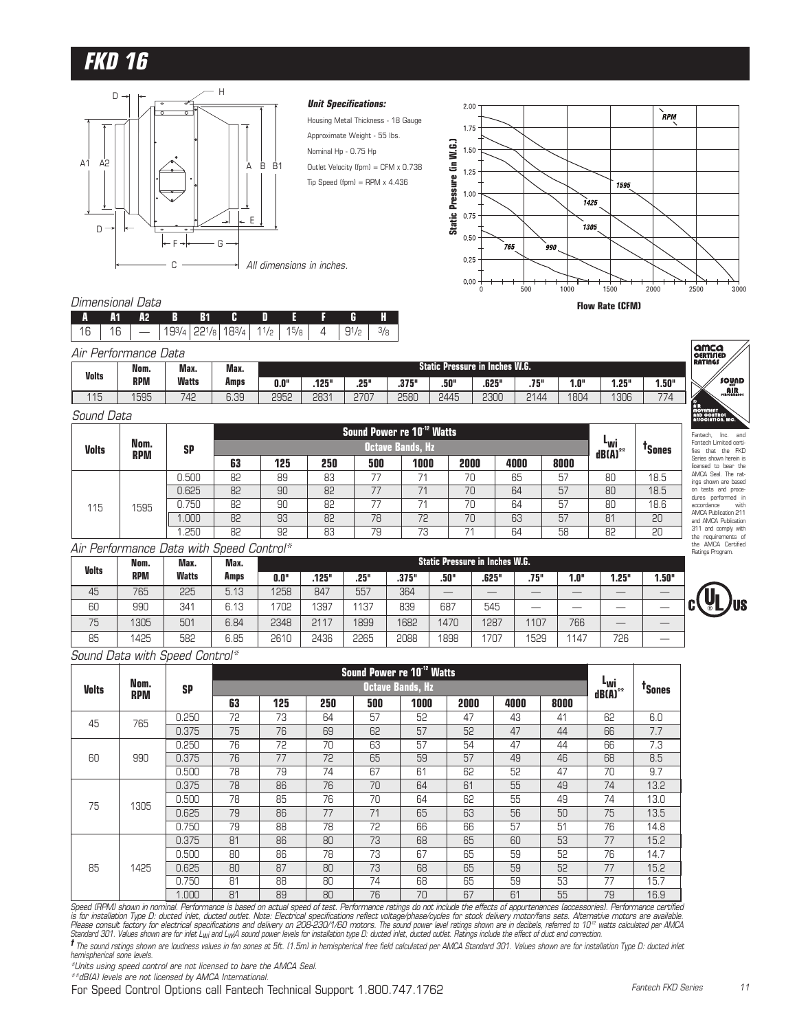

#### **Unit Specifications:**

Housing Metal Thickness - 18 Gauge Approximate Weight - 55 lbs. Nominal Hp - 0.75 Hp Outlet Velocity (fpm) = CFM x 0.738  $Tip Speed (fpm) = RPM \times 4.436$ 



#### Dimensional Data

|  |  | A A1 A2 B B1 C D E F G H                                             |  |  |  |
|--|--|----------------------------------------------------------------------|--|--|--|
|  |  | 16   16   $-$   193/4   221/8   183/4   11/2   15/8   4   91/2   3/8 |  |  |  |

| Air Performance Data |            |              |      |      |       |      |       |      |                                  |      |      |       |       |
|----------------------|------------|--------------|------|------|-------|------|-------|------|----------------------------------|------|------|-------|-------|
| <b>Volts</b>         | Nom.       | Max.         | Max. |      |       |      |       |      | Static Pressure in Inches W.G. ' |      |      |       |       |
|                      | <b>RPM</b> | <b>Watts</b> | Amps | 0.0" | .125" | .25" | .375" | .50" | .625"                            | .75" | 1.0" | 1.25" | 1.50" |
| 115<br>ں ا           | 1595       | 742          | 6.39 | 2952 | 2831  | 2707 | 2580  | 2445 | 2300                             | 2144 | 1804 | 1306  | 774   |

#### Sound Data

|              |                    |           |    |     |     |     | Sound Power re 10 <sup>-12</sup> Watts |      |      |      |                            |                    |
|--------------|--------------------|-----------|----|-----|-----|-----|----------------------------------------|------|------|------|----------------------------|--------------------|
| <b>Volts</b> | Nom.<br><b>RPM</b> | <b>SP</b> |    |     |     |     | Octave Bands. Hz                       |      |      |      | <sup>L</sup> wi<br>dB(A)** | <sup>T</sup> Sones |
|              |                    |           | 63 | 125 | 250 | 500 | 1000                                   | 2000 | 4000 | 8000 |                            |                    |
|              |                    | 0.500     | 82 | 89  | 83  | 77  | 71                                     | 70   | 65   | 57   | 80                         | 18.5               |
|              |                    | 0.625     | 82 | 90  | 82  | 77  | 71                                     | 70   | 64   | 57   | 80                         | 18.5               |
| 115          | 1595               | 0.750     | 82 | 90  | 82  | 77  | 71                                     | 70   | 64   | 57   | 80                         | 18.6               |
|              |                    | 1.000     | 82 | 93  | 82  | 78  | 72                                     | 70   | 63   | 57   | 81                         | 20                 |
|              |                    | 1.250     | 82 | 92  | 83  | 79  | 73                                     | 74   | 64   | 58   | 82                         | 20                 |

### Fantech, Inc. and Fantech Limited certi-fies that the FKD Series shown herein is licensed to bear the AMCA Seal. The rat-ings shown are based on tests and proce-dures performed in accordance with AMCA Publication 211 and AMCA Publication 311 and comply with the requirements of the AMCA Certified Ratings Program.

**amca**<br>CERTIFIED<br>RATINGS

sownp  $\mathbf{AR}_{\text{noncon}}$ 

#### Air Performance Data with Speed Control\*

| <b>Volts</b> | Nom.       | Max.         | Max. |      |       |      |       |      | <b>Static Pressure in Inches W.G.</b> |      |      |       |       |
|--------------|------------|--------------|------|------|-------|------|-------|------|---------------------------------------|------|------|-------|-------|
|              | <b>RPM</b> | <b>Watts</b> | Amps | 0.0" | .125" | .25" | .375" | .50" | .625"                                 | .75" | 1.0" | 1.25" | 1.50" |
| 45           | 765        | 225          | 5.13 | 1258 | 847   | 557  | 364   | __   |                                       |      |      |       |       |
| 60           | 990        | 341          | 6.13 | 1702 | 1397  | 1137 | 839   | 687  | 545                                   |      | __   |       |       |
| 75           | 1305       | 501          | 6.84 | 2348 | 2117  | 1899 | 1682  | 1470 | 1287                                  | 1107 | 766  | __    |       |
| 85           | 1425       | 582          | 6.85 | 2610 | 2436  | 2265 | 2088  | 1898 | 1707                                  | 1529 | 1147 | 726   |       |

Sound Data with Speed Control\*

|               |                    |                        |                       |     |                |     | Sound Power re 10 <sup>-12</sup> Watts |                                   |      |      |                                |                         |
|---------------|--------------------|------------------------|-----------------------|-----|----------------|-----|----------------------------------------|-----------------------------------|------|------|--------------------------------|-------------------------|
| <b>Volts</b>  | Nom.<br><b>RPM</b> | <b>SP</b>              |                       |     |                |     | <b>Octave Bands, Hz</b>                |                                   |      |      | "wi<br>$dB(\overline{A})^{**}$ | <sup>T</sup> Sones      |
|               |                    |                        | 63                    | 125 | 250            | 500 | 1000                                   | 2000                              | 4000 | 8000 |                                |                         |
| 45            | 765                | 0.250                  | 72                    | 73  | 64             | 57  | 52                                     | 47                                | 43   | 41   | 62                             | 6.0                     |
|               |                    | 0.375                  | 75                    | 76  | 69             | 62  | 57                                     | 52                                | 47   | 44   | 66                             | 7.7                     |
|               |                    | 0.250                  | 76                    | 72  | 70             | 63  | 57                                     | 54                                | 47   | 44   | 66                             | 7.3                     |
| 60            | 990                | 0.375                  | 76                    | 77  | 72             | 65  | 59                                     | 57                                | 49   | 46   | 68                             | 8.5                     |
|               |                    | 0.500                  | 78                    | 79  | 74             | 67  | 61                                     | 62                                | 52   | 47   | 70                             | 9.7                     |
|               |                    | 0.375                  | 78                    | 86  | 76             | 70  | 64                                     | 61                                | 55   | 49   | 74                             | 13.2                    |
| 75            | 1305               | 0.500                  | 78                    | 85  | 76             | 70  | 64                                     | 62                                | 55   | 49   | 74                             | 13.0                    |
|               |                    | 0.625                  | 79                    | 86  | 77             | 71  | 65                                     | 63                                | 56   | 50   | 75                             | 13.5                    |
|               |                    | 0.750                  | 79                    | 88  | 78             | 72  | 66                                     | 66                                | 57   | 51   | 76                             | 14.8                    |
|               |                    | 0.375                  | 81                    | 86  | 80             | 73  | 68                                     | 65                                | 60   | 53   | 77                             | 15.2                    |
|               |                    | 0.500                  | 80                    | 86  | 78             | 73  | 67                                     | 65                                | 59   | 52   | 76                             | 14.7                    |
| 85            | 1425               | 0.625                  | 80                    | 87  | 80             | 73  | 68                                     | 65                                | 59   | 52   | 77                             | 15.2                    |
|               |                    | 0.750                  | 81                    | 88  | 80             | 74  | 68                                     | 65                                | 59   | 53   | 77                             | 15.7                    |
| 1/2<br>$\sim$ |                    | 1.000<br>$\sim$ $\sim$ | 81<br>$\cdot$ $\cdot$ | 89  | 80<br>$\cdots$ | 76  | 70                                     | 67<br>$\sim$<br>$\cdots$ $\cdots$ | 61   | 55   | 79<br>$\cdot$ $\cdot$ $\sim$   | 16.9<br>$\cdot$ $\cdot$ |

Speed (RPM) shown in nominal. Performance is based on actual speed of test. Performance ratings do not include the effects of appurtenances (accessories). Performance certified is for installation Type D: ducted inlet, ducted outlet. Note: Electrical specifications reflect voltage/phase/cycles for stock delivery motor/fans sets. Alternative motors are available.<br>Please consult factory for electri

**†** The sound ratings shown are loudness values in fan sones at 5ft. (1.5m) in hemispherical free field calculated per AMCA Standard 301. Values shown are for installation Type D: ducted inlet hemispherical sone levels.

\*Units using speed control are not licensed to bare the AMCA Seal.

\*\*dB(A) levels are not licensed by AMCA International.

For Speed Control Options call Fantech Technical Support 1.800.747.1762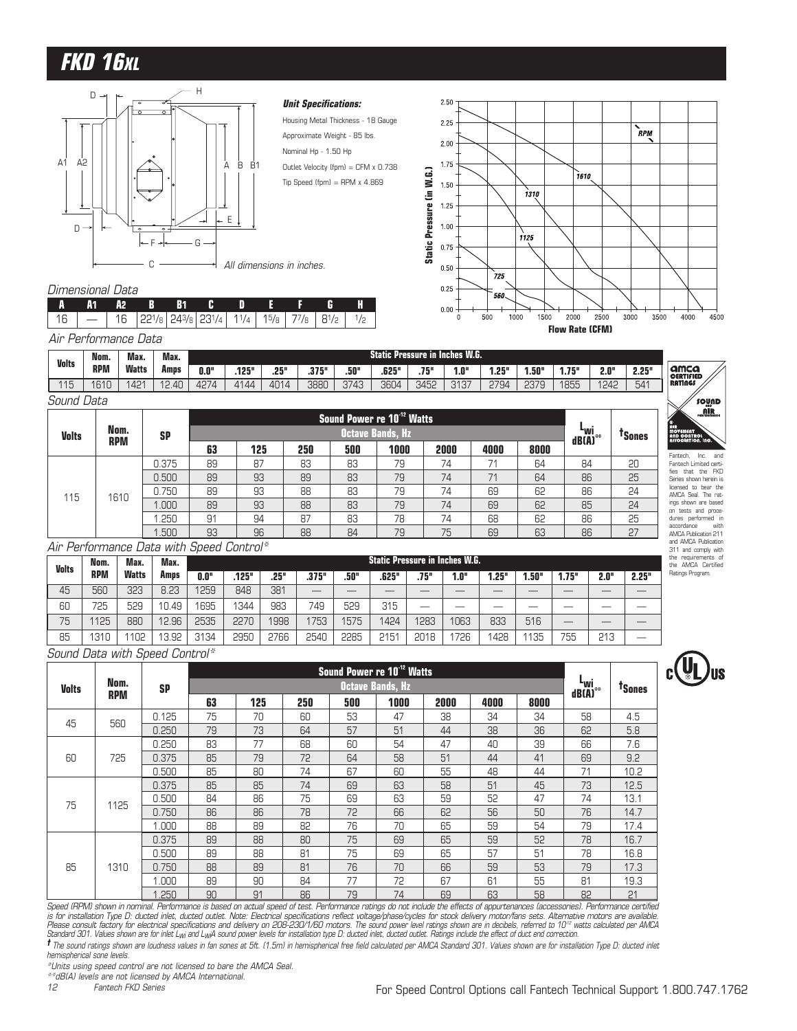# **FKD 16XL**



#### **Unit Specifications:**

- Housing Metal Thickness 18 Gauge Approximate Weight - 85 lbs. Nominal Hp - 1.50 Hp Outlet Velocity (fpm) = CFM x 0.738
- Tip Speed (fpm) = RPM  $x$  4.869

#### Dimensional Data

Sound Data

|  | IA A1A2 B B1C DEF G H                               |  |  |  |  |
|--|-----------------------------------------------------|--|--|--|--|
|  | $16$ - 16 221/8 243/8 231/4 11/4 15/8 77/8 81/2 1/2 |  |  |  |  |
|  | Air Performance Data                                |  |  |  |  |

|              | Nom.       | Max.         | Max.                      |      |      |      |       |      | <b>Static Pressure in Inches W.G.</b> |            |                |      |       |              |      |       |                                 |
|--------------|------------|--------------|---------------------------|------|------|------|-------|------|---------------------------------------|------------|----------------|------|-------|--------------|------|-------|---------------------------------|
| <b>Volts</b> | <b>RPM</b> | <b>Watts</b> | Amps                      | 0.0" | 125" | .25" | .375" | .50" | .625"                                 | 768<br>ا ا | .0"            | .25" | 1.50" | 75"<br>1./ J | 2.0" | 2.25" | <b>amca</b><br><b>CERTIFIED</b> |
| 115<br>∣∪    | 1610       | 42'<br>╌     | .40<br>$\sim$<br><u>.</u> | 427  | 4144 | 4014 | 3880  | 3743 | 3604                                  | 3452       | 717<br>ر ت ۱ ت | 2794 | 2379  | 1855         | 1242 | 541   | <b>RATINGS</b>                  |

| <b>Volts</b> | Nom.       | <b>SP</b> |    |     |     | Sound Power re 10 <sup>-12</sup> Watts | <b>Octave Bands, Hz</b> |      |      |      | "wi<br>dB(A) | <sup>T</sup> Sones | <b>MIR<br/>MOVEMENT<br/>ASSOCIATION, INC.</b>  |
|--------------|------------|-----------|----|-----|-----|----------------------------------------|-------------------------|------|------|------|--------------|--------------------|------------------------------------------------|
|              | <b>RPM</b> |           | 63 | 125 | 250 | 500                                    | 1000                    | 2000 | 4000 | 8000 |              |                    | Fantech,                                       |
|              |            | 0.375     | 89 | 87  | 83  | 83                                     | 79                      | 74   | 71   | 64   | 84           | 20                 | Fantech Limited certi-                         |
|              |            | 0.500     | 89 | 93  | 89  | 83                                     | 79                      | 74   | 71   | 64   | 86           | 25                 | that the FKD<br>fies<br>Series shown herein is |
|              |            | 0.750     | 89 | 93  | 88  | 83                                     | 79                      | 74   | 69   | 62   | 86           | 24                 | licensed to bear the<br>AMCA Seal. The rat-    |
| 115          | 1610       | .000      | 89 | 93  | 88  | 83                                     | 79                      | 74   | 69   | 62   | 85           | 24                 | ings shown are based<br>on tests and proce-    |
|              |            | .250      | 91 | 94  | 87  | 83                                     | 78                      | 74   | 68   | 62   | 86           | 25                 | dures performed in                             |
|              |            | .500      | 93 | 96  | 88  | 84                                     | 79                      | 75   | 69   | 63   | 86           | 27                 | accordance<br>AMCA Publication 211             |

#### Air Performance Data with Speed Control\*

| <b>Volts</b> | Nom.       | Max.         | Max.  |      |       |      |       |      | <b>Static Pressure in Inches W.G.</b> |      |      |      |       |       |      |       |
|--------------|------------|--------------|-------|------|-------|------|-------|------|---------------------------------------|------|------|------|-------|-------|------|-------|
|              | <b>RPM</b> | <b>Watts</b> | Amps  | 0.0" | .125" | .25" | .375" | .50" | .625"                                 | .75" | 1.0" | .25" | 1.50" | 1.75" | 2.0" | 2.25" |
| 45           | 560        | 323          | 8.23  | 1259 | 848   | 381  |       |      | __                                    |      |      |      |       | __    |      |       |
| 60           | 725        | 529          | 10.49 | 1695 | 1344  | 983  | 749   | 529  | 315                                   |      |      |      |       | –     |      | __    |
| 75           | 125        | 880          | 12.96 | 2535 | 2270  | 1998 | 753   | 1575 | 1424                                  | 1283 | 1063 | 833  | 516   | __    |      |       |
| 85           | 1310       | 102          | 13.92 | 3134 | 2950  | 2766 | 2540  | 2285 | 2151                                  | 2018 | 1726 | 428  | 1135  | 755   | 213  | –     |

Sound Data with Speed Control\*

|              |            |           |    |     |     |     | Sound Power re 10 <sup>-12</sup> Watts |      |      |      |                                            |                    |
|--------------|------------|-----------|----|-----|-----|-----|----------------------------------------|------|------|------|--------------------------------------------|--------------------|
| <b>Volts</b> | Nom.       | <b>SP</b> |    |     |     |     | <b>Octave Bands, Hz</b>                |      |      |      | L <sub>Wi</sub><br>$dB(\overline{A})^{**}$ | <sup>T</sup> Sones |
|              | <b>RPM</b> |           | 63 | 125 | 250 | 500 | 1000                                   | 2000 | 4000 | 8000 |                                            |                    |
| 45           | 560        | 0.125     | 75 | 70  | 60  | 53  | 47                                     | 38   | 34   | 34   | 58                                         | 4.5                |
|              |            | 0.250     | 79 | 73  | 64  | 57  | 51                                     | 44   | 38   | 36   | 62                                         | 5.8                |
|              |            | 0.250     | 83 | 77  | 68  | 60  | 54                                     | 47   | 40   | 39   | 66                                         | 7.6                |
| 60           | 725        | 0.375     | 85 | 79  | 72  | 64  | 58                                     | 51   | 44   | 41   | 69                                         | 9.2                |
|              |            | 0.500     | 85 | 80  | 74  | 67  | 60                                     | 55   | 48   | 44   | 71                                         | 10.2               |
|              |            | 0.375     | 85 | 85  | 74  | 69  | 63                                     | 58   | 51   | 45   | 73                                         | 12.5               |
| 75           | 1125       | 0.500     | 84 | 86  | 75  | 69  | 63                                     | 59   | 52   | 47   | 74                                         | 13.1               |
|              |            | 0.750     | 86 | 86  | 78  | 72  | 66                                     | 62   | 56   | 50   | 76                                         | 14.7               |
|              |            | 1.000     | 88 | 89  | 82  | 76  | 70                                     | 65   | 59   | 54   | 79                                         | 17.4               |
|              |            | 0.375     | 89 | 88  | 80  | 75  | 69                                     | 65   | 59   | 52   | 78                                         | 16.7               |
|              |            | 0.500     | 89 | 88  | 81  | 75  | 69                                     | 65   | 57   | 51   | 78                                         | 16.8               |
| 85           | 1310       | 0.750     | 88 | 89  | 81  | 76  | 70                                     | 66   | 59   | 53   | 79                                         | 17.3               |
|              |            | 1.000     | 89 | 90  | 84  | 77  | 72                                     | 67   | 61   | 55   | 81                                         | 19.3               |
|              |            | 1.250     | 90 | 91  | 86  | 79  | 74                                     | 69   | 63   | 58   | 82                                         | 21                 |

Speed (RPM) shown in nominal. Performance is based on actual speed of test. Performance ratings do not include the effects of appurtenances (accessories). Performance certified is for installation Type D: ducted inlet, ducted outlet. Note: Electrical specifications reflect voltage/phase/cycles for stock delivery motor/fans sets. Alternative motors are available.<br>Please consult factory for electri

**†** The sound ratings shown are loudness values in fan sones at 5ft. (1.5m) in hemispherical free field calculated per AMCA Standard 301. Values shown are for installation Type D: ducted inlet hemispherical sone levels.

\*Units using speed control are not licensed to bare the AMCA Seal.

\*\*dB(A) levels are not licensed by AMCA International.

12 Fantech FKD Series





311 and comply with the requirements of the AMCA Certified Ratings Program.

**SOUND**  $\overline{\text{air}}$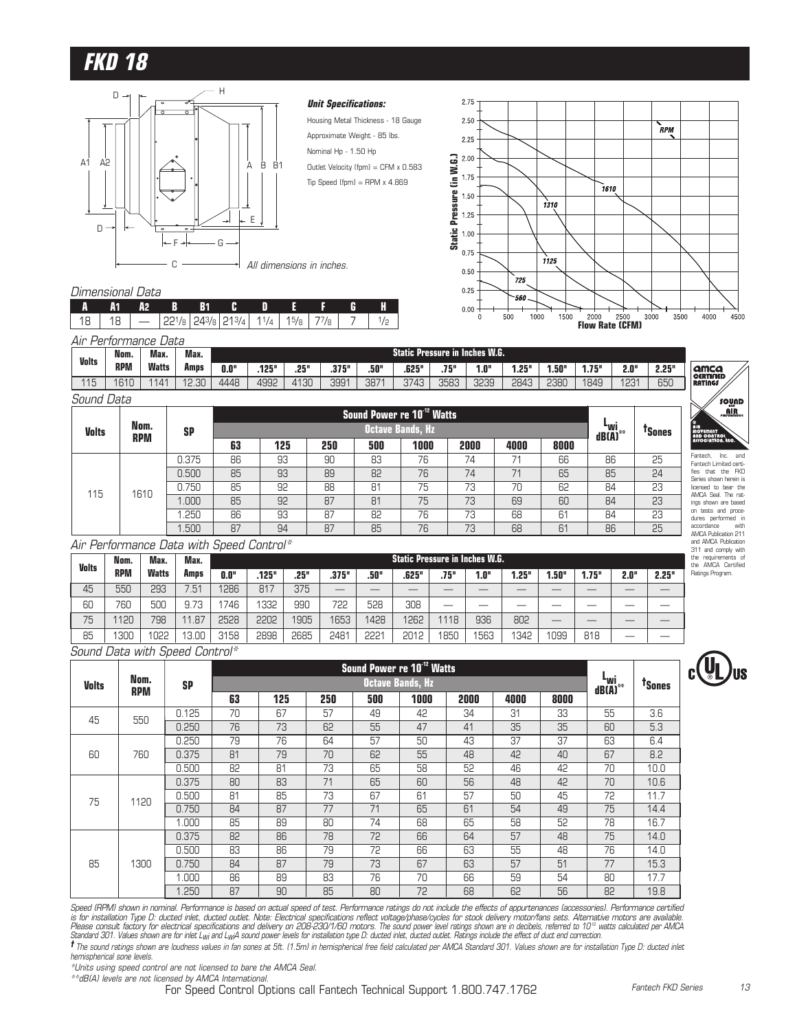

#### **Unit Specifications:**

Housing Metal Thickness - 18 Gauge Approximate Weight - 85 lbs. Nominal Hp - 1.50 Hp Outlet Velocity (fpm) = CFM x 0.583  $Tip Speed (fpm) = RPM \times 4.869$ 

#### 2.75 2.50 RPM 2.25  $2.00$ Static Pressure (in W.G.) **Static Pressure (in W.G.)** 1.75  $7610$ 1.50 1310 1.25  $1.00$ 0.75  $1125$  $0.50$ 725  $0.25$  $560.$  $0.00$  $1000$ 3500 4000 4500  $500\,$ 1500 **Flow Rate (CFM)** 3000

#### Dimensional Data

Sound Data

| IA A1A2 B B1C D E F G H |  |  |  |  |  |
|-------------------------|--|--|--|--|--|
|                         |  |  |  |  |  |
| Air Performance Data    |  |  |  |  |  |

| <b>Volts</b>            | Nom.       | Max.  | Max.  |      |       |      |       |      |       |      | <b>Static Pressure in Inches W.G.</b> |       |      |             |                  |       |                          |
|-------------------------|------------|-------|-------|------|-------|------|-------|------|-------|------|---------------------------------------|-------|------|-------------|------------------|-------|--------------------------|
|                         | <b>RPM</b> | Watts | Amps  | 0.0" | .125" | .25" | .375" | .50" | .625" | .75" | 1.0"                                  | 1.25" | .50" | 75"<br>I./J | 2.0"             | 2.25" | amca<br><b>CERTIFIED</b> |
| $\Lambda \Box$<br>- 1 0 | 1610       | 141   | 12.30 | 4448 | 4992  | 4130 | 3991  | 387' | 3743  | 3583 | <b>PRSE</b><br>ں∟ت                    | 2843  | 2380 | 1849        | 123 <sup>1</sup> | 650   | <b>RATINGS</b>           |

| <i>ouunu Dala</i> |                    |           |    |     |     |     |                                        |      |      |      |                              |                    |
|-------------------|--------------------|-----------|----|-----|-----|-----|----------------------------------------|------|------|------|------------------------------|--------------------|
|                   |                    |           |    |     |     |     | Sound Power re 10 <sup>-12</sup> Watts |      |      |      |                              |                    |
| <b>Volts</b>      | Nom.<br><b>RPM</b> | <b>SP</b> |    |     |     |     | <b>Octave Bands, Hz</b>                |      |      |      | - <sup>L</sup> wi<br>dB(A)** | <sup>T</sup> Sones |
|                   |                    |           | 63 | 125 | 250 | 500 | 1000                                   | 2000 | 4000 | 8000 |                              |                    |
|                   |                    | 0.375     | 86 | 93  | 90  | 83  | 76                                     | 74   | 71   | 66   | 86                           | 25                 |
|                   |                    | 0.500     | 85 | 93  | 89  | 82  | 76                                     | 74   | 71   | 65   | 85                           | 24                 |
| 115               | 1610               | 0.750     | 85 | 92  | 88  | 81  | 75                                     | 73   | 70   | 62   | 84                           | 23                 |
|                   |                    | 000.1     | 85 | 92  | 87  | 81  | 75                                     | 73   | 69   | 60   | 84                           | 23                 |
|                   |                    | .250      | 86 | 93  | 87  | 82  | 76                                     | 73   | 68   | 61   | 84                           | 23                 |
|                   |                    | .500      | 87 | 94  | 87  | 85  | 76                                     | 73   | 68   | 61   | 86                           | 25                 |

#### Air Performance Data with Speed Control\*

| <b>Volts</b> | Nom.       | Max.         | Max.        |      |       |      |       |      | <b>Static Pressure in Inches W.G.</b> |      |      |        |       |       |      |       |
|--------------|------------|--------------|-------------|------|-------|------|-------|------|---------------------------------------|------|------|--------|-------|-------|------|-------|
|              | <b>RPM</b> | <b>Watts</b> | Amps        | 0.0" | .125" | .25" | .375" | .50" | .625"                                 | .75" | 1.0" | "25، ، | 1.50" | 1.75" | 2.0" | 2.25" |
| 45           | 550        | 293          | 7.51        | 1286 | 817   | 375  |       |      |                                       |      |      |        |       |       |      |       |
| 60           | 760        | 500          | 9.73        | 746  | 1332  | 990  | 722   | 528  | 308                                   |      |      |        | __    |       |      |       |
| 75           | 120        | 798          | .87<br>11   | 2528 | 2202  | 1905 | 1653  | 428  | 1262                                  | 1118 | 936  | 802    |       |       |      |       |
| 85           | 300        | 1022         | nn<br>13.OL | 3158 | 2898  | 2685 | 2481  | 2221 | 2012                                  | 1850 | 1563 | 1342   | 1099  | 818   | __   |       |

Sound Data with Speed Control\*

|              |                    |           |    |     |     | Sound Power re 10 <sup>-12</sup> Watts |                         |      |      |      |                                            |                    |
|--------------|--------------------|-----------|----|-----|-----|----------------------------------------|-------------------------|------|------|------|--------------------------------------------|--------------------|
| <b>Volts</b> | Nom.<br><b>RPM</b> | <b>SP</b> |    |     |     |                                        | <b>Octave Bands, Hz</b> |      |      |      | L <sub>Wi</sub><br>$dB(\overline{A})^{**}$ | <sup>T</sup> Sones |
|              |                    |           | 63 | 125 | 250 | 500                                    | 1000                    | 2000 | 4000 | 8000 |                                            |                    |
| 45           | 550                | 0.125     | 70 | 67  | 57  | 49                                     | 42                      | 34   | 31   | 33   | 55                                         | 3.6                |
|              |                    | 0.250     | 76 | 73  | 62  | 55                                     | 47                      | 41   | 35   | 35   | 60                                         | 5.3                |
|              |                    | 0.250     | 79 | 76  | 64  | 57                                     | 50                      | 43   | 37   | 37   | 63                                         | 6.4                |
| 60           | 760                | 0.375     | 81 | 79  | 70  | 62                                     | 55                      | 48   | 42   | 40   | 67                                         | 8.2                |
|              |                    | 0.500     | 82 | 81  | 73  | 65                                     | 58                      | 52   | 46   | 42   | 70                                         | 10.0               |
|              |                    | 0.375     | 80 | 83  | 71  | 65                                     | 60                      | 56   | 48   | 42   | 70                                         | 10.6               |
| 75           | 1120               | 0.500     | 81 | 85  | 73  | 67                                     | 61                      | 57   | 50   | 45   | 72                                         | 11.7               |
|              |                    | 0.750     | 84 | 87  | 77  | 71                                     | 65                      | 61   | 54   | 49   | 75                                         | 14.4               |
|              |                    | 1.000     | 85 | 89  | 80  | 74                                     | 68                      | 65   | 58   | 52   | 78                                         | 16.7               |
|              |                    | 0.375     | 82 | 86  | 78  | 72                                     | 66                      | 64   | 57   | 48   | 75                                         | 14.0               |
|              |                    | 0.500     | 83 | 86  | 79  | 72                                     | 66                      | 63   | 55   | 48   | 76                                         | 14.0               |
| 85           | 1300               | 0.750     | 84 | 87  | 79  | 73                                     | 67                      | 63   | 57   | 51   | 77                                         | 15.3               |
|              |                    | 1.000     | 86 | 89  | 83  | 76                                     | 70                      | 66   | 59   | 54   | 80                                         | 17.7               |
|              |                    | 1.250     | 87 | 90  | 85  | 80                                     | 72                      | 68   | 62   | 56   | 82                                         | 19.8               |

Speed (RPM) shown in nominal. Performance is based on actual speed of test. Performance ratings do not include the effects of appurtenances (accessories). Performance certified is for installation Type D: ducted inlet, ducted outlet. Note: Electrical specifications reflect voltage/phase/cycles for stock delivery motor/fans sets. Alternative motors are available.<br>Please consult factory for electri

**†** The sound ratings shown are loudness values in fan sones at 5ft. (1.5m) in hemispherical free field calculated per AMCA Standard 301. Values shown are for installation Type D: ducted inlet hemispherical sone levels.

\*Units using speed control are not licensed to bare the AMCA Seal.

\*\*dB(A) levels are not licensed by AMCA International.

For Speed Control Options call Fantech Technical Support 1.800.747.1762



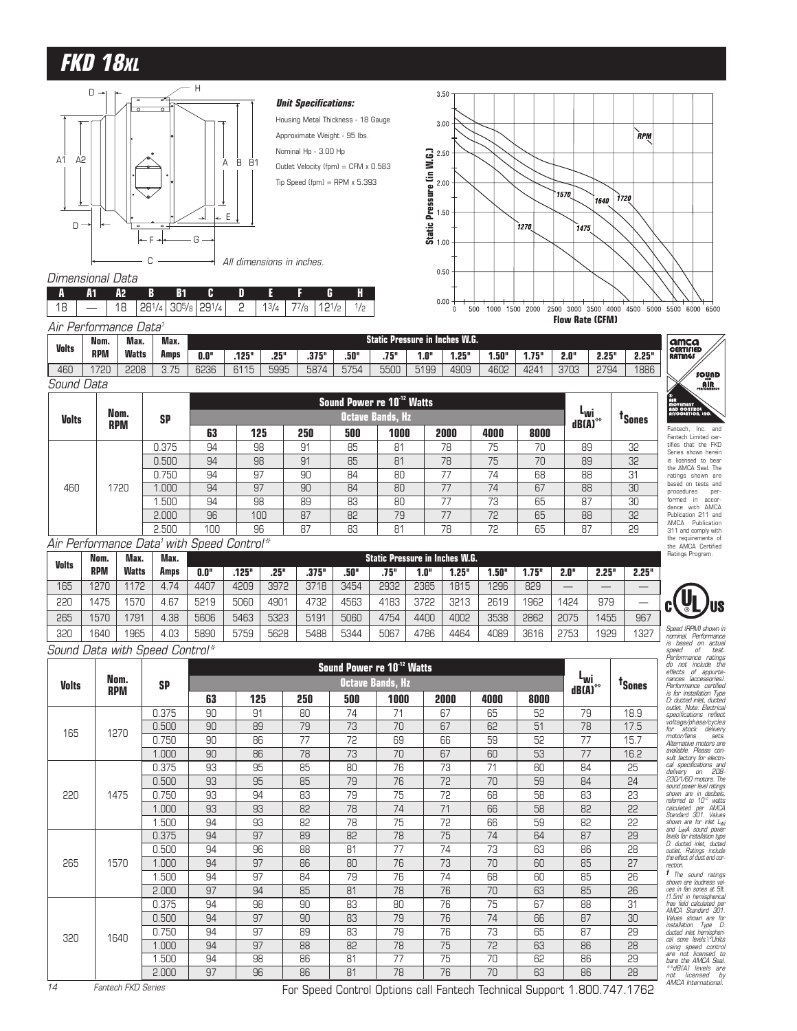# **FKD 18XL**



**A A1 A2 B B1 CDEFGH**

#### **Unit Specifications:**

Housing Metal Thickness - 18 Gauge Approximate Weight - 95 lbs. Nominal Hp - 3.00 Hp

3.50

Outlet Velocity (fpm) = CFM x 0.583 Tip Speed (fpm) = RPM  $\times$  5.393



# $18$  |  $-$  | 18 28<sup>1</sup>/<sub>4</sub> 30<sup>5</sup>/<sub>8</sub> 29<sup>1</sup>/<sub>4</sub> | 2 | 1<sup>3</sup>/<sub>4</sub> | 7<sup>7</sup>/<sub>8</sub> | 12<sup>1</sup>/<sub>2</sub> | 1/<sub>2</sub>

Dimensional Data

| Air Performance Data <sup>1</sup> |            |       |      |      |       |      |       |      |      |      |                                 |       |       |      |       |       |
|-----------------------------------|------------|-------|------|------|-------|------|-------|------|------|------|---------------------------------|-------|-------|------|-------|-------|
| <b>Volts</b>                      | Nom.       | Max.  | Max. |      |       |      |       |      |      |      | Static Pressure in Inches W.G.' |       |       |      |       |       |
|                                   | <b>RPM</b> | Watts | Amps | 0.0" | .125" | .25" | .375" | .50" | .75" | 1.0" | .25"                            | 1.50" | 1.75" | 2.0" | 2.25" | 2.25" |
| 460                               | 720        | 2208  | 3.75 | 6236 | 6115  | 5995 | 5874  | 5754 | 5500 | 5199 | 4909                            | 4602  | 4241  | 3703 | 2794  | 1886  |
| Sound Data                        |            |       |      |      |       |      |       |      |      |      |                                 |       |       |      |       |       |

|              |                    |           |     |     |     | Sound Power re 10 <sup>-12</sup> Watts |                         |      |      |      |                                            |                    |
|--------------|--------------------|-----------|-----|-----|-----|----------------------------------------|-------------------------|------|------|------|--------------------------------------------|--------------------|
| <b>Volts</b> | Nom.<br><b>RPM</b> | <b>SP</b> |     |     |     |                                        | <b>Octave Bands, Hz</b> |      |      |      | "wi<br>$dB(\overrightarrow{A})^{\ast\ast}$ | <sup>T</sup> Sones |
|              |                    |           | 63  | 125 | 250 | 500                                    | 1000                    | 2000 | 4000 | 8000 |                                            |                    |
|              |                    | 0.375     | 94  | 98  | 91  | 85                                     | 81                      | 78   | 75   | 70   | 89                                         | 32                 |
|              |                    | 0.500     | 94  | 98  | 91  | 85                                     | 81                      | 78   | 75   | 70   | 89                                         | 32                 |
|              |                    | 0.750     | 94  | 97  | 90  | 84                                     | 80                      | 77   | 74   | 68   | 88                                         | 31                 |
| 460          | 1720               | 1.000     | 94  | 97  | 90  | 84                                     | 80                      | 77   | 74   | 67   | 88                                         | 30                 |
|              |                    | .500      | 94  | 98  | 89  | 83                                     | 80                      | 77   | 73   | 65   | 87                                         | 30                 |
|              |                    | 2.000     | 96  | 100 | 87  | 82                                     | 79                      | 77   | 72   | 65   | 88                                         | 32                 |
|              |                    | 2.500     | 100 | 96  | 87  | 83                                     | 81                      | 78   | 72   | 65   | 87                                         | 29                 |

#### Air Performance Data<sup>1</sup> with Speed Control\*

| <b>Volts</b> | Nom. | Max.         | Max. |      |       |      |       |      |      |      | <b>Static Pressure in Inches W.G.</b> |      |       |      |       |       |
|--------------|------|--------------|------|------|-------|------|-------|------|------|------|---------------------------------------|------|-------|------|-------|-------|
|              | RPM  | <b>Watts</b> | Amps | 0.0" | .125" | .25" | .375" | .50" | .75" | 1.0" | 1.25"                                 | 50"  | 1.75" | 2.0" | 2.25" | 2.25" |
| 165          | 1270 | 1172         | 4.74 | 4407 | 4209  | 3972 | 3718  | 3454 | 2932 | 2385 | 1815                                  | 1296 | 829   | __   |       |       |
| 220          | 475  | 1570         | 4.67 | 5219 | 5060  | 4901 | 4732  | 4563 | 4183 | 3722 | 3213                                  | 2619 | 1962  | 1424 | 979   |       |
| 265          | 570  | 1791         | 4.38 | 5606 | 5463  | 5323 | 5191  | 5060 | 4754 | 4400 | 4002                                  | 3538 | 2862  | 2075 | 1455  | 967   |
| 320          | 1640 | 1965         | 4.03 | 5890 | 5759  | 5628 | 5488  | 5344 | 5067 | 4786 | 4464                                  | 4089 | 3616  | 2753 | 1929  | 1327  |

Sound Data with Speed Control\*

|              |            |           |    |     |     | Sound Power re 10 <sup>-12</sup> Watts |                         |      |      |      |                              |                    |
|--------------|------------|-----------|----|-----|-----|----------------------------------------|-------------------------|------|------|------|------------------------------|--------------------|
| <b>Volts</b> | Nom.       | <b>SP</b> |    |     |     |                                        | <b>Octave Bands, Hz</b> |      |      |      | ⊾wi<br>$dB(A)$ <sup>**</sup> | <sup>t</sup> Sones |
|              | <b>RPM</b> |           | 63 | 125 | 250 | 500                                    | 1000                    | 2000 | 4000 | 8000 |                              |                    |
|              |            | 0.375     | 90 | 91  | 80  | 74                                     | 71                      | 67   | 65   | 52   | 79                           | 18.9               |
| 165          | 1270       | 0.500     | 90 | 89  | 79  | 73                                     | 70                      | 67   | 62   | 51   | 78                           | 17.5               |
|              |            | 0.750     | 90 | 86  | 77  | 72                                     | 69                      | 66   | 59   | 52   | 77                           | 15.7               |
|              |            | 1.000     | 90 | 86  | 78  | 73                                     | 70                      | 67   | 60   | 53   | 77                           | 16.2               |
|              |            | 0.375     | 93 | 95  | 85  | 80                                     | 76                      | 73   | 71   | 60   | 84                           | 25                 |
|              |            | 0.500     | 93 | 95  | 85  | 79                                     | 76                      | 72   | 70   | 59   | 84                           | 24                 |
| 220          | 1475       | 0.750     | 93 | 94  | 83  | 79                                     | 75                      | 72   | 68   | 58   | 83                           | 23                 |
|              |            | 1.000     | 93 | 93  | 82  | 78                                     | 74                      | 71   | 66   | 58   | 82                           | 22                 |
|              |            | 1.500     | 94 | 93  | 82  | 78                                     | 75                      | 72   | 66   | 59   | 82                           | 22                 |
|              |            | 0.375     | 94 | 97  | 89  | 82                                     | 78                      | 75   | 74   | 64   | 87                           | 29                 |
|              |            | 0.500     | 94 | 96  | 88  | 81                                     | 77                      | 74   | 73   | 63   | 86                           | 28                 |
| 265          | 1570       | 1.000     | 94 | 97  | 86  | 80                                     | 76                      | 73   | 70   | 60   | 85                           | 27                 |
|              |            | 1.500     | 94 | 97  | 84  | 79                                     | 76                      | 74   | 68   | 60   | 85                           | 26                 |
|              |            | 2.000     | 97 | 94  | 85  | 81                                     | 78                      | 76   | 70   | 63   | 85                           | 26                 |
|              |            | 0.375     | 94 | 98  | 90  | 83                                     | 80                      | 76   | 75   | 67   | 88                           | 31                 |
|              |            | 0.500     | 94 | 97  | 90  | 83                                     | 79                      | 76   | 74   | 66   | 87                           | 30                 |
| 320          | 1640       | 0.750     | 94 | 97  | 89  | 83                                     | 79                      | 76   | 73   | 65   | 87                           | 29                 |
|              |            | 1.000     | 94 | 97  | 88  | 82                                     | 78                      | 75   | 72   | 63   | 86                           | 28                 |
|              |            | 1.500     | 94 | 98  | 86  | 81                                     | 77                      | 75   | 70   | 62   | 86                           | 29                 |
|              |            | 2.000     | 97 | 96  | 86  | 81                                     | 78                      | 76   | 70   | 63   | 86                           | 28                 |



Fantech, Inc. and Fantech Limited cer-tifies that the FKD Series shown herein is licensed to bear the AMCA Seal. The

**AIR**<br>AND CONTROL<br>ASSOCIATION, INC.

์ sound  $\mathbf{A}^{\text{min}}_{\text{nonlocal}}$ 

**amca**<br>CERTIFIED<br>RATINGS

ratings shown are based on tests and procedures per-formed in accor-dance with AMCA

Publication 211 and AMCA Publication 311 and comply with the requirements of the AMCA Certified Ratings Program.

Speed (IRPM) shown in<br>animal. Performance and<br>the based on actual of the speed of the speed of the speed of the<br>speed of the speed of the speed of the speed of the speed<br>to the internal performance of the speed in the spee cal specifications and<br>delivery on 208-<br>230/1/60 motors. The<br>sound power level ratings<br>shown are in decibels,<br>referred to 10<sup>12</sup> watts<br>calculated per AMCA<br>Standard 301. Values shown are for inlet L<sub>WI</sub><br>and L<sub>WI</sub>A sound power<br>levels for installation type<br>D: ducted inlet, ducted<br>outlet. Ratings include<br>the effect.of.duct.end.cor-

rection.<br>The sound ratings values of the sound ratings in the sound ratio<br>(1.5m) in hemispherical state from the first property of the sound<br>AMCA Standard 301.<br>Installation Type Distribution in the sound ratio<br>(1.5m) in th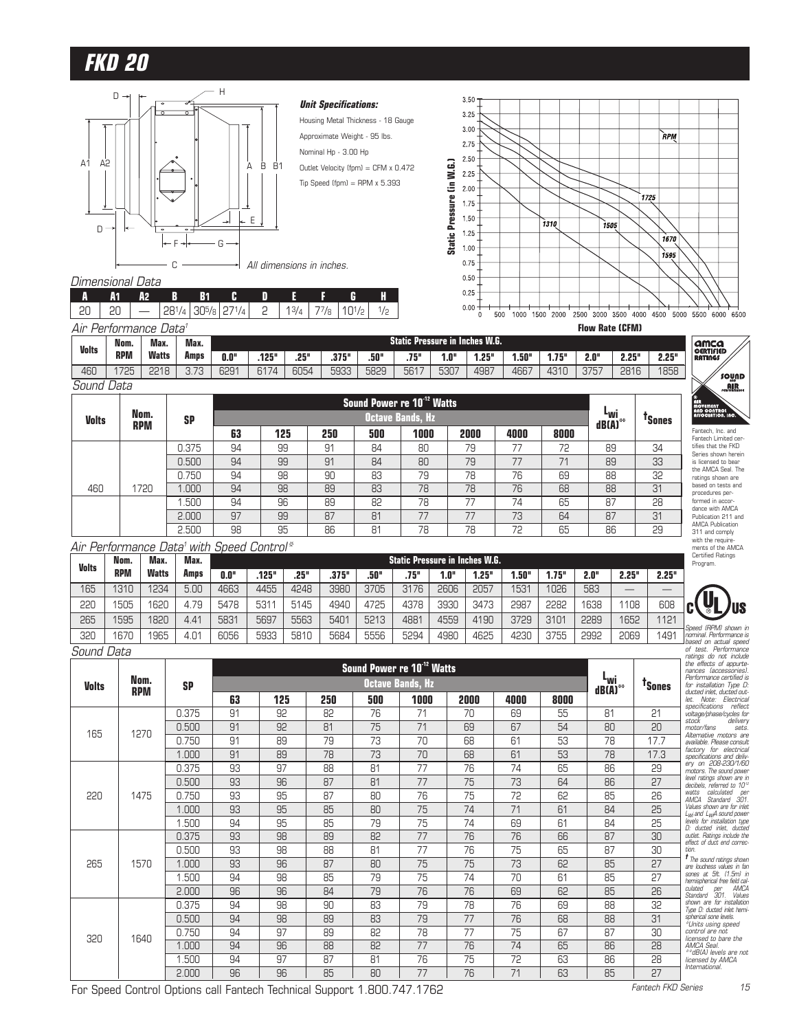



Dimensional Data

|  | A2 . |                                           | - R - R1 - | <b>ANGELIA PERSONAL</b> | n | .          | <b>ALL</b> |  |
|--|------|-------------------------------------------|------------|-------------------------|---|------------|------------|--|
|  |      | 20   20   $-$   281/4   305/8   271/4   2 |            |                         |   | $13/4$   7 | 77/8 101/2 |  |
|  |      | Air Performance Data <sup>1</sup>         |            |                         |   |            |            |  |

| Volts | Nom.       | Max.         | Max.        |      |       |      |       |      | Static Pressure in Inches W.G. |      |      |      |       |      |       |       |
|-------|------------|--------------|-------------|------|-------|------|-------|------|--------------------------------|------|------|------|-------|------|-------|-------|
|       | <b>RPM</b> | <b>Watts</b> | Amps        | 0.0" | .125" | .25" | .375" | .50" | .75"                           | 1.0" | .25" | .50" | 1.75" | 2.0" | 2.25" | 2.25" |
| 460   | 725        | 2218         | רד ר<br>ن ت | 6291 | 6174  | 6054 | 5933  | 5829 | 5617                           | 5307 | 4987 | 4667 | 4310  | 3757 | 2816  | 1858  |
| Sound | Data       |              |             |      |       |      |       |      |                                |      |      |      |       |      |       |       |

|              |                    |           |    |     |     | Sound Power re 10 <sup>-12</sup> Watts |                         |      |      |      |                                     |                    |
|--------------|--------------------|-----------|----|-----|-----|----------------------------------------|-------------------------|------|------|------|-------------------------------------|--------------------|
| <b>Volts</b> | Nom.<br><b>RPM</b> | <b>SP</b> |    |     |     |                                        | <b>Octave Bands, Hz</b> |      |      |      | ⊾ա<br>$dB(\overline{A})^{\ast\ast}$ | <sup>T</sup> Sones |
|              |                    |           | 63 | 125 | 250 | 500                                    | 1000                    | 2000 | 4000 | 8000 |                                     |                    |
|              |                    | 0.375     | 94 | 99  | 91  | 84                                     | 80                      | 79   | 77   | 72   | 89                                  | 34                 |
|              |                    | 0.500     | 94 | 99  | 91  | 84                                     | 80                      | 79   | 77   | 71   | 89                                  | 33                 |
|              |                    | 0.750     | 94 | 98  | 90  | 83                                     | 79                      | 78   | 76   | 69   | 88                                  | 32                 |
| 460          | 1720               | .000      | 94 | 98  | 89  | 83                                     | 78                      | 78   | 76   | 68   | 88                                  | 31                 |
|              |                    | .500      | 94 | 96  | 89  | 82                                     | 78                      | 77   | 74   | 65   | 87                                  | 28                 |
|              |                    | 2.000     | 97 | 99  | 87  | 81                                     | 77                      | 77   | 73   | 64   | 87                                  | 31                 |
|              |                    | 2.500     | 98 | 95  | 86  | 81                                     | 78                      | 78   | 72   | 65   | 86                                  | 29                 |

#### Air Performance Data<sup>1</sup> with Speed Control<sup>\*</sup>

| <b>Volts</b> | Nom.       | Max.         | Max. |      |       |      |       |      | <b>Static Pressure in Inches W.G.</b> |      |       |      |       |      |       |       |
|--------------|------------|--------------|------|------|-------|------|-------|------|---------------------------------------|------|-------|------|-------|------|-------|-------|
|              | <b>RPM</b> | <b>Watts</b> | Amps | 0.0" | .125" | .25" | .375" | .50" | .75"                                  | 1.0" | 1.25" | .50" | 1.75" | 2.0" | 2.25" | 2.25" |
| 165          | 1310       | 1234         | 5.00 | 4663 | 4455  | 4248 | 3980  | 3705 | 3176                                  | 2606 | 2057  | 531  | 1026  | 583  |       |       |
| 220          | 505        | 1620         | 4.79 | 5478 | 5311  | 5145 | 4940  | 4725 | 4378                                  | 3930 | 3473  | 2987 | 2282  | 1638 | 1108  | 608   |
| 265          | 1595       | 1820         | 4.41 | 5831 | 5697  | 5563 | 5401  | 5213 | 4881                                  | 4559 | 4190  | 3729 | 3101  | 2289 | 1652  | 1121  |
| 320          | 670        | 1965         | 4.01 | 6056 | 5933  | 5810 | 5684  | 5556 | 5294                                  | 4980 | 4625  | 4230 | 3755  | 2992 | 2069  | 1491  |

Sound Data

| <b>Volts</b> | Nom.<br><b>RPM</b> | <b>SP</b> | Sound Power re 10 <sup>-12</sup> Watts<br><b>Octave Bands, Hz</b> |      |       |    |    |    |    |    | ⊾wi<br>$dB(\overline{A})^{**}$ | <sup>T</sup> Sones |
|--------------|--------------------|-----------|-------------------------------------------------------------------|------|-------|----|----|----|----|----|--------------------------------|--------------------|
|              |                    |           |                                                                   |      |       |    |    |    |    |    |                                |                    |
|              |                    |           | 165                                                               | 1270 | 0.375 | 91 | 92 | 82 | 76 | 71 | 70                             | 69                 |
| 0.500        | 91                 | 92        |                                                                   |      | 81    | 75 | 71 | 69 | 67 | 54 | 80                             | 20                 |
| 0.750        | 91                 | 89        |                                                                   |      | 79    | 73 | 70 | 68 | 61 | 53 | 78                             | 17.7               |
| 1.000        | 91                 | 89        |                                                                   |      | 78    | 73 | 70 | 68 | 61 | 53 | 78                             | 17.3               |
| 220          | 1475               | 0.375     | 93                                                                | 97   | 88    | 81 | 77 | 76 | 74 | 65 | 86                             | 29                 |
|              |                    | 0.500     | 93                                                                | 96   | 87    | 81 | 77 | 75 | 73 | 64 | 86                             | 27                 |
|              |                    | 0.750     | 93                                                                | 95   | 87    | 80 | 76 | 75 | 72 | 62 | 85                             | 26                 |
|              |                    | 1.000     | 93                                                                | 95   | 85    | 80 | 75 | 74 | 71 | 61 | 84                             | 25                 |
|              |                    | 1.500     | 94                                                                | 95   | 85    | 79 | 75 | 74 | 69 | 61 | 84                             | 25                 |
| 265          | 1570               | 0.375     | 93                                                                | 98   | 89    | 82 | 77 | 76 | 76 | 66 | 87                             | 30                 |
|              |                    | 0.500     | 93                                                                | 98   | 88    | 81 | 77 | 76 | 75 | 65 | 87                             | 30                 |
|              |                    | 1.000     | 93                                                                | 96   | 87    | 80 | 75 | 75 | 73 | 62 | 85                             | 27                 |
|              |                    | 1.500     | 94                                                                | 98   | 85    | 79 | 75 | 74 | 70 | 61 | 85                             | 27                 |
|              |                    | 2.000     | 96                                                                | 96   | 84    | 79 | 76 | 76 | 69 | 62 | 85                             | 26                 |
| 320          | 1640               | 0.375     | 94                                                                | 98   | 90    | 83 | 79 | 78 | 76 | 69 | 88                             | 32                 |
|              |                    | 0.500     | 94                                                                | 98   | 89    | 83 | 79 | 77 | 76 | 68 | 88                             | 31                 |
|              |                    | 0.750     | 94                                                                | 97   | 89    | 82 | 78 | 77 | 75 | 67 | 87                             | 30                 |
|              |                    | 1.000     | 94                                                                | 96   | 88    | 82 | 77 | 76 | 74 | 65 | 86                             | 28                 |
|              |                    | 1.500     | 94                                                                | 97   | 87    | 81 | 76 | 75 | 72 | 63 | 86                             | 28                 |
|              |                    | 2.000     | 96                                                                | 96   | 85    | 80 | 77 | 76 | 71 | 63 | 85                             | 27                 |

For Speed Control Options call Fantech Technical Support 1.800.747.1762

tifies that the FKD Series shown herein is licensed to bear the AMCA Seal. The ratings shown are based on tests and procedures per-formed in accor-dance with AMCA Publication 211 and AMCA Publication 311 and comply with the require-ments of the AMCA Certified Ratings Program.

Fantech, Inc. and Fantech Limited cer-

**növement<br>IND CONTROL<br>ISSOCIATION, IN** 

**amca**<br>CERTIFIED<br>RATINGS

sound **AIR** 



Speed (RPM) shown in<br>based on actual speed<br>of test. Performance<br>of test. Performance<br>the effects of appurte-<br>nances (accessories).<br>Performance certified is<br>for installation Type D:<br>for installation Type D: ducted inlet, ducted out-<br>let. . Note: Electrical<br>specifications reflect<br>specifications reflect<br>stock stock stock stock<br>stock stock stock<br>available. Please consult<br>factory for electrical<br>specifications and deliv-<br>specifica motors. The sound power<br>level ratings shown are in<br>decibels, referred to 10<sup>12</sup><br>watts calculated operation<br>AMCA Standard 301.<br>Values shown are for inlet<br>levels for installation type<br>evidet. Ratings include the<br>outlet. Rati *† The sound retings shown*<br>series wise situations in famous<br>sones at 5ft. (1.5m) in<br>sones at 5ft. (1.5m) in<br>culated per AMCA<br>clauded are at installation<br>spherical sone heels.<br>the functions of the sone of the sones<br>control